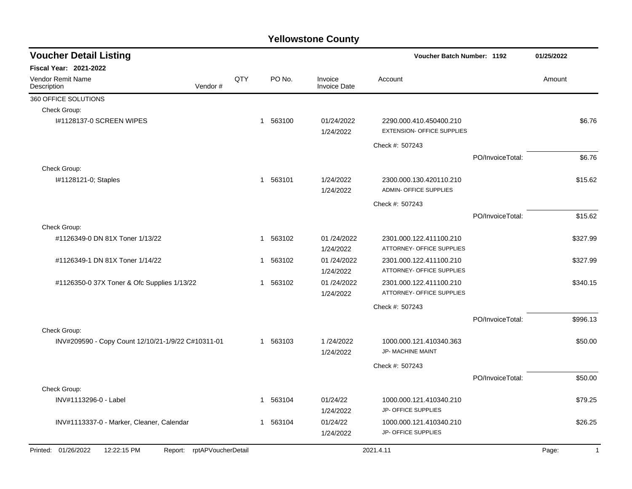| <b>Voucher Detail Listing</b>                                    |     |                          |                                | Voucher Batch Number: 1192                                   |                  | 01/25/2022              |
|------------------------------------------------------------------|-----|--------------------------|--------------------------------|--------------------------------------------------------------|------------------|-------------------------|
| Fiscal Year: 2021-2022                                           |     |                          |                                |                                                              |                  |                         |
| Vendor Remit Name<br>Description<br>Vendor#                      | QTY | PO No.                   | Invoice<br><b>Invoice Date</b> | Account                                                      |                  | Amount                  |
| 360 OFFICE SOLUTIONS                                             |     |                          |                                |                                                              |                  |                         |
| Check Group:                                                     |     |                          |                                |                                                              |                  |                         |
| I#1128137-0 SCREEN WIPES                                         |     | 1 563100                 | 01/24/2022<br>1/24/2022        | 2290.000.410.450400.210<br><b>EXTENSION- OFFICE SUPPLIES</b> |                  | \$6.76                  |
|                                                                  |     |                          |                                | Check #: 507243                                              |                  |                         |
|                                                                  |     |                          |                                |                                                              | PO/InvoiceTotal: | \$6.76                  |
| Check Group:                                                     |     |                          |                                |                                                              |                  |                         |
| I#1128121-0; Staples                                             |     | 563101<br>$\mathbf{1}$   | 1/24/2022<br>1/24/2022         | 2300.000.130.420110.210<br><b>ADMIN- OFFICE SUPPLIES</b>     |                  | \$15.62                 |
|                                                                  |     |                          |                                | Check #: 507243                                              |                  |                         |
|                                                                  |     |                          |                                |                                                              | PO/InvoiceTotal: | \$15.62                 |
| Check Group:                                                     |     |                          |                                |                                                              |                  |                         |
| #1126349-0 DN 81X Toner 1/13/22                                  |     | 563102<br>$\overline{1}$ | 01/24/2022<br>1/24/2022        | 2301.000.122.411100.210<br>ATTORNEY- OFFICE SUPPLIES         |                  | \$327.99                |
| #1126349-1 DN 81X Toner 1/14/22                                  |     | 563102<br>$\mathbf{1}$   | 01 /24/2022<br>1/24/2022       | 2301.000.122.411100.210<br>ATTORNEY- OFFICE SUPPLIES         |                  | \$327.99                |
| #1126350-0 37X Toner & Ofc Supplies 1/13/22                      |     | 563102<br>$\overline{1}$ | 01/24/2022<br>1/24/2022        | 2301.000.122.411100.210<br>ATTORNEY- OFFICE SUPPLIES         |                  | \$340.15                |
|                                                                  |     |                          |                                | Check #: 507243                                              |                  |                         |
|                                                                  |     |                          |                                |                                                              | PO/InvoiceTotal: | \$996.13                |
| Check Group:                                                     |     |                          |                                |                                                              |                  |                         |
| INV#209590 - Copy Count 12/10/21-1/9/22 C#10311-01               |     | 563103<br>$\mathbf{1}$   | 1/24/2022<br>1/24/2022         | 1000.000.121.410340.363<br><b>JP- MACHINE MAINT</b>          |                  | \$50.00                 |
|                                                                  |     |                          |                                | Check #: 507243                                              |                  |                         |
|                                                                  |     |                          |                                |                                                              | PO/InvoiceTotal: | \$50.00                 |
| Check Group:                                                     |     |                          |                                |                                                              |                  |                         |
| INV#1113296-0 - Label                                            |     | 563104<br>1              | 01/24/22<br>1/24/2022          | 1000.000.121.410340.210<br>JP- OFFICE SUPPLIES               |                  | \$79.25                 |
| INV#1113337-0 - Marker, Cleaner, Calendar                        |     | 563104<br>$\mathbf{1}$   | 01/24/22<br>1/24/2022          | 1000.000.121.410340.210<br><b>JP- OFFICE SUPPLIES</b>        |                  | \$26.25                 |
| Printed: 01/26/2022<br>12:22:15 PM<br>Report: rptAPVoucherDetail |     |                          |                                | 2021.4.11                                                    |                  | Page:<br>$\overline{1}$ |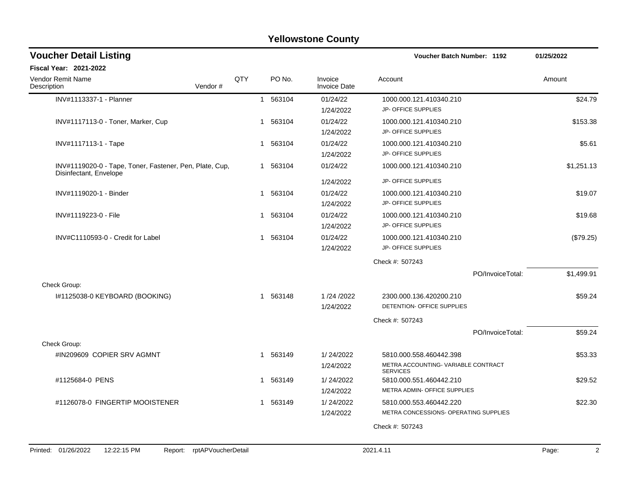|                                                                                   |         |     |   |          | ו טווטזיסנטווט טטעוונץ             |                                                                                  |            |
|-----------------------------------------------------------------------------------|---------|-----|---|----------|------------------------------------|----------------------------------------------------------------------------------|------------|
| <b>Voucher Detail Listing</b>                                                     |         |     |   |          |                                    | Voucher Batch Number: 1192                                                       | 01/25/2022 |
| <b>Fiscal Year: 2021-2022</b>                                                     |         |     |   |          |                                    |                                                                                  |            |
| Vendor Remit Name<br>Description                                                  | Vendor# | QTY |   | PO No.   | Invoice<br><b>Invoice Date</b>     | Account                                                                          | Amount     |
| INV#1113337-1 - Planner                                                           |         |     |   | 1 563104 | 01/24/22<br>1/24/2022              | 1000.000.121.410340.210<br>JP- OFFICE SUPPLIES                                   | \$24.79    |
| INV#1117113-0 - Toner, Marker, Cup                                                |         |     |   | 1 563104 | 01/24/22<br>1/24/2022              | 1000.000.121.410340.210<br>JP- OFFICE SUPPLIES                                   | \$153.38   |
| INV#1117113-1 - Tape                                                              |         |     | 1 | 563104   | 01/24/22<br>1/24/2022              | 1000.000.121.410340.210<br>JP- OFFICE SUPPLIES                                   | \$5.61     |
| INV#1119020-0 - Tape, Toner, Fastener, Pen, Plate, Cup,<br>Disinfectant, Envelope |         |     |   | 1 563104 | 01/24/22                           | 1000.000.121.410340.210                                                          | \$1,251.13 |
| INV#1119020-1 - Binder                                                            |         |     |   | 1 563104 | 1/24/2022<br>01/24/22<br>1/24/2022 | JP- OFFICE SUPPLIES<br>1000.000.121.410340.210<br>JP- OFFICE SUPPLIES            | \$19.07    |
| INV#1119223-0 - File                                                              |         |     |   | 1 563104 | 01/24/22<br>1/24/2022              | 1000.000.121.410340.210<br>JP- OFFICE SUPPLIES                                   | \$19.68    |
| INV#C1110593-0 - Credit for Label                                                 |         |     |   | 1 563104 | 01/24/22<br>1/24/2022              | 1000.000.121.410340.210<br>JP- OFFICE SUPPLIES                                   | (\$79.25)  |
|                                                                                   |         |     |   |          |                                    | Check #: 507243                                                                  |            |
| Check Group:                                                                      |         |     |   |          |                                    | PO/InvoiceTotal:                                                                 | \$1,499.91 |
| I#1125038-0 KEYBOARD (BOOKING)                                                    |         |     |   | 1 563148 | 1/24/2022<br>1/24/2022             | 2300.000.136.420200.210<br>DETENTION- OFFICE SUPPLIES                            | \$59.24    |
|                                                                                   |         |     |   |          |                                    | Check #: 507243                                                                  |            |
|                                                                                   |         |     |   |          |                                    | PO/InvoiceTotal:                                                                 | \$59.24    |
| Check Group:                                                                      |         |     |   |          |                                    |                                                                                  |            |
| #IN209609 COPIER SRV AGMNT                                                        |         |     |   | 1 563149 | 1/24/2022<br>1/24/2022             | 5810.000.558.460442.398<br>METRA ACCOUNTING-VARIABLE CONTRACT<br><b>SERVICES</b> | \$53.33    |
| #1125684-0 PENS                                                                   |         |     |   | 1 563149 | 1/24/2022<br>1/24/2022             | 5810.000.551.460442.210<br>METRA ADMIN- OFFICE SUPPLIES                          | \$29.52    |
| #1126078-0 FINGERTIP MOOISTENER                                                   |         |     |   | 563149   | 1/24/2022<br>1/24/2022             | 5810.000.553.460442.220<br>METRA CONCESSIONS- OPERATING SUPPLIES                 | \$22.30    |

Check #: 507243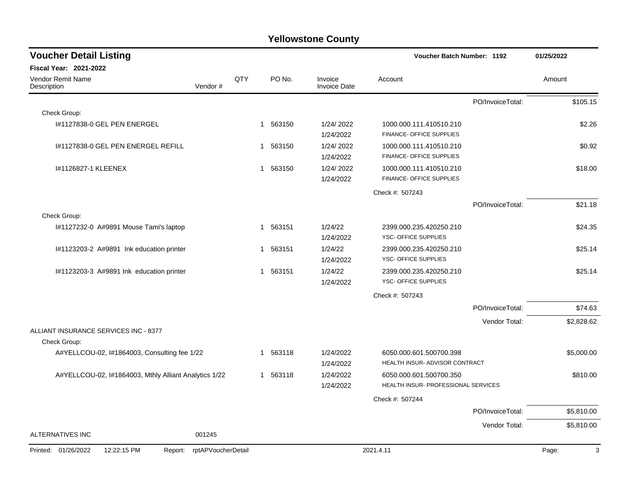| <b>Voucher Detail Listing</b>                         |                    |     |                        |                                | <b>Voucher Batch Number: 1192</b>                              |                  | 01/25/2022 |
|-------------------------------------------------------|--------------------|-----|------------------------|--------------------------------|----------------------------------------------------------------|------------------|------------|
| <b>Fiscal Year: 2021-2022</b>                         |                    |     |                        |                                |                                                                |                  |            |
| <b>Vendor Remit Name</b><br>Description               | Vendor#            | QTY | PO No.                 | Invoice<br><b>Invoice Date</b> | Account                                                        |                  | Amount     |
|                                                       |                    |     |                        |                                |                                                                | PO/InvoiceTotal: | \$105.15   |
| Check Group:                                          |                    |     |                        |                                |                                                                |                  |            |
| #1127838-0 GEL PEN ENERGEL                            |                    |     | 563150<br>1            | 1/24/2022<br>1/24/2022         | 1000.000.111.410510.210<br>FINANCE- OFFICE SUPPLIES            |                  | \$2.26     |
| #1127838-0 GEL PEN ENERGEL REFILL                     |                    |     | 563150<br>1            | 1/24/2022<br>1/24/2022         | 1000.000.111.410510.210<br>FINANCE- OFFICE SUPPLIES            |                  | \$0.92     |
| 1#1126827-1 KLEENEX                                   |                    |     | 563150<br>1            | 1/24/2022<br>1/24/2022         | 1000.000.111.410510.210<br>FINANCE- OFFICE SUPPLIES            |                  | \$18.00    |
|                                                       |                    |     |                        |                                | Check #: 507243                                                |                  |            |
|                                                       |                    |     |                        |                                |                                                                | PO/InvoiceTotal: | \$21.18    |
| Check Group:                                          |                    |     |                        |                                |                                                                |                  |            |
| #1127232-0 A#9891 Mouse Tami's laptop                 |                    |     | 1 563151               | 1/24/22<br>1/24/2022           | 2399.000.235.420250.210<br>YSC- OFFICE SUPPLIES                |                  | \$24.35    |
| I#1123203-2 A#9891 Ink education printer              |                    |     | 563151<br>1            | 1/24/22<br>1/24/2022           | 2399.000.235.420250.210<br>YSC- OFFICE SUPPLIES                |                  | \$25.14    |
| I#1123203-3 A#9891 Ink education printer              |                    |     | 563151<br>1            | 1/24/22<br>1/24/2022           | 2399.000.235.420250.210<br>YSC- OFFICE SUPPLIES                |                  | \$25.14    |
|                                                       |                    |     |                        |                                | Check #: 507243                                                |                  |            |
|                                                       |                    |     |                        |                                |                                                                | PO/InvoiceTotal: | \$74.63    |
|                                                       |                    |     |                        |                                |                                                                | Vendor Total:    | \$2,828.62 |
| ALLIANT INSURANCE SERVICES INC - 8377<br>Check Group: |                    |     |                        |                                |                                                                |                  |            |
| A#YELLCOU-02, 1#1864003, Consulting fee 1/22          |                    |     | 563118<br>$\mathbf{1}$ | 1/24/2022<br>1/24/2022         | 6050.000.601.500700.398<br>HEALTH INSUR- ADVISOR CONTRACT      |                  | \$5,000.00 |
| A#YELLCOU-02, I#1864003, Mthly Alliant Analytics 1/22 |                    |     | 563118<br>1            | 1/24/2022<br>1/24/2022         | 6050.000.601.500700.350<br>HEALTH INSUR- PROFESSIONAL SERVICES |                  | \$810.00   |
|                                                       |                    |     |                        |                                | Check #: 507244                                                |                  |            |
|                                                       |                    |     |                        |                                |                                                                | PO/InvoiceTotal: | \$5,810.00 |
|                                                       |                    |     |                        |                                |                                                                | Vendor Total:    | \$5,810.00 |
| <b>ALTERNATIVES INC</b>                               | 001245             |     |                        |                                |                                                                |                  |            |
| 12:22:15 PM<br>Printed: 01/26/2022<br>Report:         | rptAPVoucherDetail |     |                        |                                | 2021.4.11                                                      |                  | 3<br>Page: |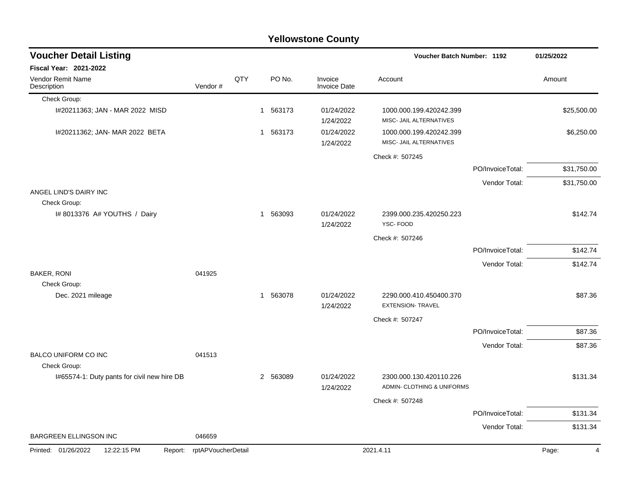|                                               |                    |     |                        | <b>Yellowstone County</b>      |                                                       |                  |             |          |
|-----------------------------------------------|--------------------|-----|------------------------|--------------------------------|-------------------------------------------------------|------------------|-------------|----------|
| <b>Voucher Detail Listing</b>                 |                    |     |                        |                                | Voucher Batch Number: 1192                            |                  | 01/25/2022  |          |
| Fiscal Year: 2021-2022                        |                    |     |                        |                                |                                                       |                  |             |          |
| Vendor Remit Name<br>Description              | Vendor#            | QTY | PO No.                 | Invoice<br><b>Invoice Date</b> | Account                                               |                  | Amount      |          |
| Check Group:                                  |                    |     |                        |                                |                                                       |                  |             |          |
| I#20211363; JAN - MAR 2022 MISD               |                    |     | 563173<br>1            | 01/24/2022<br>1/24/2022        | 1000.000.199.420242.399<br>MISC- JAIL ALTERNATIVES    |                  | \$25,500.00 |          |
| I#20211362; JAN- MAR 2022 BETA                |                    |     | 563173<br>1            | 01/24/2022<br>1/24/2022        | 1000.000.199.420242.399<br>MISC- JAIL ALTERNATIVES    |                  | \$6,250.00  |          |
|                                               |                    |     |                        |                                | Check #: 507245                                       |                  |             |          |
|                                               |                    |     |                        |                                |                                                       | PO/InvoiceTotal: | \$31,750.00 |          |
|                                               |                    |     |                        |                                |                                                       | Vendor Total:    | \$31,750.00 |          |
| ANGEL LIND'S DAIRY INC<br>Check Group:        |                    |     |                        |                                |                                                       |                  |             |          |
| I# 8013376 A# YOUTHS / Dairy                  |                    |     | 563093<br>1            | 01/24/2022<br>1/24/2022        | 2399.000.235.420250.223<br>YSC-FOOD                   |                  |             | \$142.74 |
|                                               |                    |     |                        |                                | Check #: 507246                                       |                  |             |          |
|                                               |                    |     |                        |                                |                                                       | PO/InvoiceTotal: |             | \$142.74 |
|                                               |                    |     |                        |                                |                                                       | Vendor Total:    |             | \$142.74 |
| <b>BAKER, RONI</b>                            | 041925             |     |                        |                                |                                                       |                  |             |          |
| Check Group:<br>Dec. 2021 mileage             |                    |     | 563078<br>$\mathbf{1}$ | 01/24/2022<br>1/24/2022        | 2290.000.410.450400.370<br><b>EXTENSION- TRAVEL</b>   |                  |             | \$87.36  |
|                                               |                    |     |                        |                                | Check #: 507247                                       |                  |             |          |
|                                               |                    |     |                        |                                |                                                       | PO/InvoiceTotal: |             | \$87.36  |
|                                               |                    |     |                        |                                |                                                       | Vendor Total:    |             | \$87.36  |
| BALCO UNIFORM CO INC<br>Check Group:          | 041513             |     |                        |                                |                                                       |                  |             |          |
| I#65574-1: Duty pants for civil new hire DB   |                    |     | 2 563089               | 01/24/2022<br>1/24/2022        | 2300.000.130.420110.226<br>ADMIN- CLOTHING & UNIFORMS |                  |             | \$131.34 |
|                                               |                    |     |                        |                                | Check #: 507248                                       |                  |             |          |
|                                               |                    |     |                        |                                |                                                       | PO/InvoiceTotal: |             | \$131.34 |
|                                               |                    |     |                        |                                |                                                       | Vendor Total:    |             | \$131.34 |
| BARGREEN ELLINGSON INC                        | 046659             |     |                        |                                |                                                       |                  |             |          |
| Printed: 01/26/2022<br>12:22:15 PM<br>Report: | rptAPVoucherDetail |     |                        |                                | 2021.4.11                                             |                  | Page:       | 4        |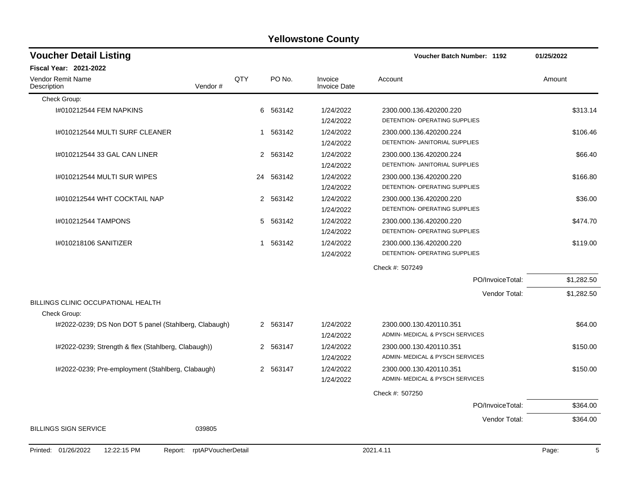| <b>Voucher Detail Listing</b>                         |                    |                                |                                | Voucher Batch Number: 1192      | 01/25/2022 |
|-------------------------------------------------------|--------------------|--------------------------------|--------------------------------|---------------------------------|------------|
| Fiscal Year: 2021-2022                                |                    |                                |                                |                                 |            |
| Vendor Remit Name<br>Description<br>Vendor#           | QTY                | PO No.                         | Invoice<br><b>Invoice Date</b> | Account                         | Amount     |
| Check Group:                                          |                    |                                |                                |                                 |            |
| 1#010212544 FEM NAPKINS                               |                    | 6 563142                       | 1/24/2022                      | 2300.000.136.420200.220         | \$313.14   |
|                                                       |                    |                                | 1/24/2022                      | DETENTION- OPERATING SUPPLIES   |            |
| I#010212544 MULTI SURF CLEANER                        |                    | 1 563142                       | 1/24/2022                      | 2300.000.136.420200.224         | \$106.46   |
|                                                       |                    |                                | 1/24/2022                      | DETENTION- JANITORIAL SUPPLIES  |            |
| I#010212544 33 GAL CAN LINER                          |                    | 2 563142                       | 1/24/2022                      | 2300.000.136.420200.224         | \$66.40    |
|                                                       |                    |                                | 1/24/2022                      | DETENTION- JANITORIAL SUPPLIES  |            |
| I#010212544 MULTI SUR WIPES                           | 24                 | 563142                         | 1/24/2022                      | 2300.000.136.420200.220         | \$166.80   |
|                                                       |                    |                                | 1/24/2022                      | DETENTION- OPERATING SUPPLIES   |            |
| 1#010212544 WHT COCKTAIL NAP                          |                    | 563142<br>$\mathbf{2}^{\circ}$ | 1/24/2022                      | 2300.000.136.420200.220         | \$36.00    |
|                                                       |                    |                                | 1/24/2022                      | DETENTION- OPERATING SUPPLIES   |            |
| I#010212544 TAMPONS                                   |                    | 563142<br>5                    | 1/24/2022                      | 2300.000.136.420200.220         | \$474.70   |
|                                                       |                    |                                | 1/24/2022                      | DETENTION- OPERATING SUPPLIES   |            |
| I#010218106 SANITIZER                                 |                    | 563142<br>$\mathbf 1$          | 1/24/2022                      | 2300.000.136.420200.220         | \$119.00   |
|                                                       |                    |                                | 1/24/2022                      | DETENTION- OPERATING SUPPLIES   |            |
|                                                       |                    |                                |                                | Check #: 507249                 |            |
|                                                       |                    |                                |                                | PO/InvoiceTotal:                | \$1,282.50 |
|                                                       |                    |                                |                                | Vendor Total:                   | \$1,282.50 |
| BILLINGS CLINIC OCCUPATIONAL HEALTH                   |                    |                                |                                |                                 |            |
| Check Group:                                          |                    |                                |                                |                                 |            |
| I#2022-0239; DS Non DOT 5 panel (Stahlberg, Clabaugh) |                    | 2 563147                       | 1/24/2022                      | 2300.000.130.420110.351         | \$64.00    |
|                                                       |                    |                                | 1/24/2022                      | ADMIN- MEDICAL & PYSCH SERVICES |            |
| I#2022-0239; Strength & flex (Stahlberg, Clabaugh))   |                    | 2 563147                       | 1/24/2022                      | 2300.000.130.420110.351         | \$150.00   |
|                                                       |                    |                                | 1/24/2022                      | ADMIN- MEDICAL & PYSCH SERVICES |            |
| I#2022-0239; Pre-employment (Stahlberg, Clabaugh)     |                    | 2 563147                       | 1/24/2022                      | 2300.000.130.420110.351         | \$150.00   |
|                                                       |                    |                                | 1/24/2022                      | ADMIN- MEDICAL & PYSCH SERVICES |            |
|                                                       |                    |                                |                                | Check #: 507250                 |            |
|                                                       |                    |                                |                                | PO/InvoiceTotal:                | \$364.00   |
|                                                       |                    |                                |                                | Vendor Total:                   | \$364.00   |
| <b>BILLINGS SIGN SERVICE</b><br>039805                |                    |                                |                                |                                 |            |
|                                                       |                    |                                |                                |                                 |            |
| Printed: 01/26/2022<br>12:22:15 PM<br>Report:         | rptAPVoucherDetail |                                |                                | 2021.4.11                       | 5<br>Page: |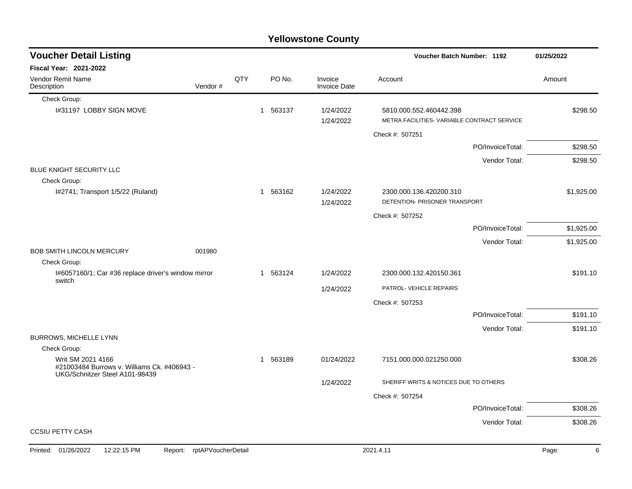|                                                                                  |         |     |          | <b>Yellowstone County</b> |                                                                        |                  |            |
|----------------------------------------------------------------------------------|---------|-----|----------|---------------------------|------------------------------------------------------------------------|------------------|------------|
| <b>Voucher Detail Listing</b>                                                    |         |     |          |                           | Voucher Batch Number: 1192                                             |                  | 01/25/2022 |
| <b>Fiscal Year: 2021-2022</b>                                                    |         |     |          |                           |                                                                        |                  |            |
| <b>Vendor Remit Name</b><br>Description                                          | Vendor# | QTY | PO No.   | Invoice<br>Invoice Date   | Account                                                                |                  | Amount     |
| Check Group:                                                                     |         |     |          |                           |                                                                        |                  |            |
| I#31197 LOBBY SIGN MOVE                                                          |         |     | 1 563137 | 1/24/2022<br>1/24/2022    | 5810.000.552.460442.398<br>METRA FACILITIES- VARIABLE CONTRACT SERVICE |                  | \$298.50   |
|                                                                                  |         |     |          |                           | Check #: 507251                                                        |                  |            |
|                                                                                  |         |     |          |                           |                                                                        | PO/InvoiceTotal: | \$298.50   |
|                                                                                  |         |     |          |                           |                                                                        | Vendor Total:    | \$298.50   |
| BLUE KNIGHT SECURITY LLC<br>Check Group:                                         |         |     |          |                           |                                                                        |                  |            |
| I#2741; Transport 1/5/22 (Ruland)                                                |         |     | 1 563162 | 1/24/2022<br>1/24/2022    | 2300.000.136.420200.310<br>DETENTION- PRISONER TRANSPORT               |                  | \$1,925.00 |
|                                                                                  |         |     |          |                           | Check #: 507252                                                        |                  |            |
|                                                                                  |         |     |          |                           |                                                                        | PO/InvoiceTotal: | \$1,925.00 |
|                                                                                  |         |     |          |                           |                                                                        | Vendor Total:    | \$1,925.00 |
| <b>BOB SMITH LINCOLN MERCURY</b>                                                 | 001980  |     |          |                           |                                                                        |                  |            |
| Check Group:                                                                     |         |     |          |                           |                                                                        |                  |            |
| I#6057160/1; Car #36 replace driver's window mirror<br>switch                    |         |     | 1 563124 | 1/24/2022                 | 2300.000.132.420150.361                                                |                  | \$191.10   |
|                                                                                  |         |     |          | 1/24/2022                 | PATROL- VEHICLE REPAIRS                                                |                  |            |
|                                                                                  |         |     |          |                           | Check #: 507253                                                        |                  |            |
|                                                                                  |         |     |          |                           |                                                                        | PO/InvoiceTotal: | \$191.10   |
|                                                                                  |         |     |          |                           |                                                                        | Vendor Total:    | \$191.10   |
| BURROWS, MICHELLE LYNN                                                           |         |     |          |                           |                                                                        |                  |            |
| Check Group:<br>Writ SM 2021 4166<br>#21003484 Burrows v. Williams Ck. #406943 - |         |     | 1 563189 | 01/24/2022                | 7151.000.000.021250.000                                                |                  | \$308.26   |
| UKG/Schnitzer Steel A101-98439                                                   |         |     |          | 1/24/2022                 | SHERIFF WRITS & NOTICES DUE TO OTHERS                                  |                  |            |
|                                                                                  |         |     |          |                           | Check #: 507254                                                        |                  |            |
|                                                                                  |         |     |          |                           |                                                                        | PO/InvoiceTotal: | \$308.26   |
|                                                                                  |         |     |          |                           |                                                                        | Vendor Total:    | \$308.26   |
| <b>CCSIU PETTY CASH</b>                                                          |         |     |          |                           |                                                                        |                  |            |

#### Printed: 01/26/2022 12:22:15 PM Report: rptAPVoucherDetail 2021.4.11 2021.4.11 2021.4.11 Page: 6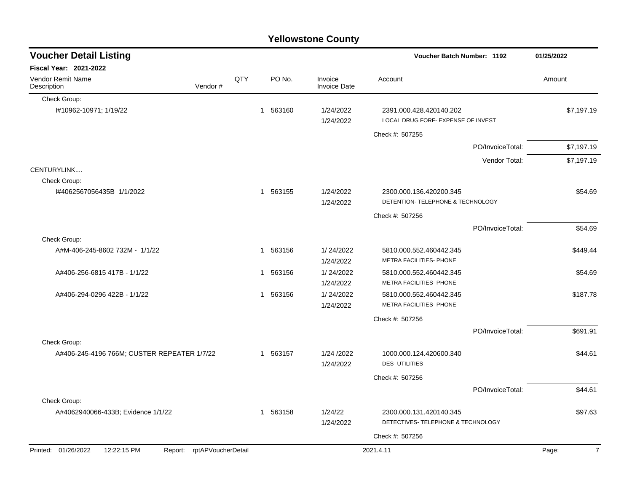| <b>Yellowstone County</b>                                        |         |     |                |        |                                |                                                               |                  |                         |  |  |  |
|------------------------------------------------------------------|---------|-----|----------------|--------|--------------------------------|---------------------------------------------------------------|------------------|-------------------------|--|--|--|
| <b>Voucher Detail Listing</b>                                    |         |     |                |        |                                | Voucher Batch Number: 1192                                    |                  | 01/25/2022              |  |  |  |
| Fiscal Year: 2021-2022                                           |         |     |                |        |                                |                                                               |                  |                         |  |  |  |
| Vendor Remit Name<br>Description                                 | Vendor# | QTY |                | PO No. | Invoice<br><b>Invoice Date</b> | Account                                                       |                  | Amount                  |  |  |  |
| Check Group:                                                     |         |     |                |        |                                |                                                               |                  |                         |  |  |  |
| I#10962-10971; 1/19/22                                           |         |     | $\mathbf 1$    | 563160 | 1/24/2022<br>1/24/2022         | 2391.000.428.420140.202<br>LOCAL DRUG FORF- EXPENSE OF INVEST |                  | \$7,197.19              |  |  |  |
|                                                                  |         |     |                |        |                                | Check #: 507255                                               |                  |                         |  |  |  |
|                                                                  |         |     |                |        |                                |                                                               | PO/InvoiceTotal: | \$7,197.19              |  |  |  |
|                                                                  |         |     |                |        |                                |                                                               | Vendor Total:    | \$7,197.19              |  |  |  |
| CENTURYLINK                                                      |         |     |                |        |                                |                                                               |                  |                         |  |  |  |
| Check Group:                                                     |         |     |                |        |                                |                                                               |                  |                         |  |  |  |
| I#4062567056435B 1/1/2022                                        |         |     | -1             | 563155 | 1/24/2022                      | 2300.000.136.420200.345<br>DETENTION-TELEPHONE & TECHNOLOGY   |                  | \$54.69                 |  |  |  |
|                                                                  |         |     |                |        | 1/24/2022                      |                                                               |                  |                         |  |  |  |
|                                                                  |         |     |                |        |                                | Check #: 507256                                               |                  |                         |  |  |  |
| Check Group:                                                     |         |     |                |        |                                |                                                               | PO/InvoiceTotal: | \$54.69                 |  |  |  |
| A#M-406-245-8602 732M - 1/1/22                                   |         |     | -1             | 563156 | 1/24/2022                      | 5810.000.552.460442.345                                       |                  | \$449.44                |  |  |  |
|                                                                  |         |     |                |        | 1/24/2022                      | METRA FACILITIES- PHONE                                       |                  |                         |  |  |  |
| A#406-256-6815 417B - 1/1/22                                     |         |     | -1             | 563156 | 1/24/2022                      | 5810.000.552.460442.345                                       |                  | \$54.69                 |  |  |  |
|                                                                  |         |     |                |        | 1/24/2022                      | METRA FACILITIES- PHONE                                       |                  |                         |  |  |  |
| A#406-294-0296 422B - 1/1/22                                     |         |     | -1             | 563156 | 1/24/2022                      | 5810.000.552.460442.345                                       |                  | \$187.78                |  |  |  |
|                                                                  |         |     |                |        | 1/24/2022                      | METRA FACILITIES- PHONE                                       |                  |                         |  |  |  |
|                                                                  |         |     |                |        |                                | Check #: 507256                                               |                  |                         |  |  |  |
|                                                                  |         |     |                |        |                                |                                                               | PO/InvoiceTotal: | \$691.91                |  |  |  |
| Check Group:                                                     |         |     |                |        |                                |                                                               |                  |                         |  |  |  |
| A#406-245-4196 766M; CUSTER REPEATER 1/7/22                      |         |     | -1             | 563157 | 1/24 /2022<br>1/24/2022        | 1000.000.124.420600.340<br><b>DES-UTILITIES</b>               |                  | \$44.61                 |  |  |  |
|                                                                  |         |     |                |        |                                | Check #: 507256                                               |                  |                         |  |  |  |
|                                                                  |         |     |                |        |                                |                                                               | PO/InvoiceTotal: | \$44.61                 |  |  |  |
| Check Group:                                                     |         |     |                |        |                                |                                                               |                  |                         |  |  |  |
| A#4062940066-433B; Evidence 1/1/22                               |         |     | $\overline{1}$ | 563158 | 1/24/22                        | 2300.000.131.420140.345                                       |                  | \$97.63                 |  |  |  |
|                                                                  |         |     |                |        | 1/24/2022                      | DETECTIVES- TELEPHONE & TECHNOLOGY                            |                  |                         |  |  |  |
|                                                                  |         |     |                |        |                                | Check #: 507256                                               |                  |                         |  |  |  |
| Printed: 01/26/2022<br>12:22:15 PM<br>Report: rptAPVoucherDetail |         |     |                |        |                                | 2021.4.11                                                     |                  | Page:<br>$\overline{7}$ |  |  |  |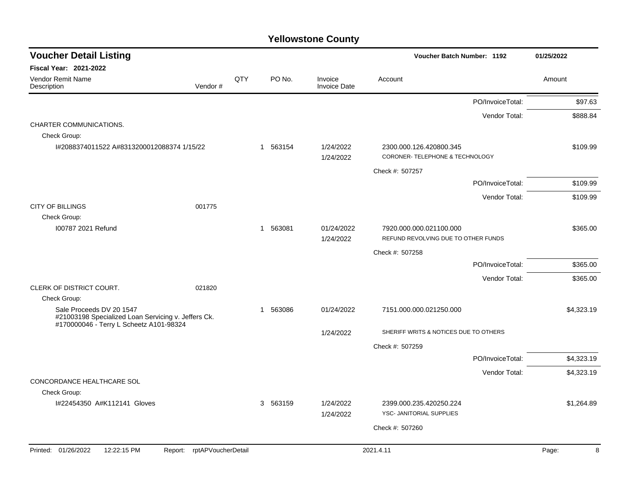| <b>Voucher Detail Listing</b>                                                                                              |                               |     |                        |                                | Voucher Batch Number: 1192                                     |                  | 01/25/2022 |
|----------------------------------------------------------------------------------------------------------------------------|-------------------------------|-----|------------------------|--------------------------------|----------------------------------------------------------------|------------------|------------|
| <b>Fiscal Year: 2021-2022</b>                                                                                              |                               |     |                        |                                |                                                                |                  |            |
| Vendor Remit Name<br>Description                                                                                           | Vendor#                       | QTY | PO No.                 | Invoice<br><b>Invoice Date</b> | Account                                                        |                  | Amount     |
|                                                                                                                            |                               |     |                        |                                |                                                                | PO/InvoiceTotal: | \$97.63    |
|                                                                                                                            |                               |     |                        |                                |                                                                | Vendor Total:    | \$888.84   |
| CHARTER COMMUNICATIONS.<br>Check Group:                                                                                    |                               |     |                        |                                |                                                                |                  |            |
| I#2088374011522 A#8313200012088374 1/15/22                                                                                 |                               |     | 1 563154               | 1/24/2022<br>1/24/2022         | 2300.000.126.420800.345<br>CORONER-TELEPHONE & TECHNOLOGY      |                  | \$109.99   |
|                                                                                                                            |                               |     |                        |                                | Check #: 507257                                                |                  |            |
|                                                                                                                            |                               |     |                        |                                |                                                                | PO/InvoiceTotal: | \$109.99   |
|                                                                                                                            |                               |     |                        |                                |                                                                | Vendor Total:    | \$109.99   |
| <b>CITY OF BILLINGS</b><br>Check Group:                                                                                    | 001775                        |     |                        |                                |                                                                |                  |            |
| 100787 2021 Refund                                                                                                         |                               |     | 563081<br>$\mathbf{1}$ | 01/24/2022<br>1/24/2022        | 7920.000.000.021100.000<br>REFUND REVOLVING DUE TO OTHER FUNDS |                  | \$365.00   |
|                                                                                                                            |                               |     |                        |                                | Check #: 507258                                                |                  |            |
|                                                                                                                            |                               |     |                        |                                |                                                                | PO/InvoiceTotal: | \$365.00   |
|                                                                                                                            |                               |     |                        |                                |                                                                | Vendor Total:    | \$365.00   |
| CLERK OF DISTRICT COURT.                                                                                                   | 021820                        |     |                        |                                |                                                                |                  |            |
| Check Group:                                                                                                               |                               |     |                        |                                |                                                                |                  |            |
| Sale Proceeds DV 20 1547<br>#21003198 Specialized Loan Servicing v. Jeffers Ck.<br>#170000046 - Terry L Scheetz A101-98324 |                               |     | 563086<br>-1           | 01/24/2022                     | 7151.000.000.021250.000                                        |                  | \$4,323.19 |
|                                                                                                                            |                               |     |                        | 1/24/2022                      | SHERIFF WRITS & NOTICES DUE TO OTHERS                          |                  |            |
|                                                                                                                            |                               |     |                        |                                | Check #: 507259                                                |                  |            |
|                                                                                                                            |                               |     |                        |                                |                                                                | PO/InvoiceTotal: | \$4,323.19 |
|                                                                                                                            |                               |     |                        |                                |                                                                | Vendor Total:    | \$4,323.19 |
| CONCORDANCE HEALTHCARE SOL                                                                                                 |                               |     |                        |                                |                                                                |                  |            |
| Check Group:<br>I#22454350 A#K112141 Gloves                                                                                |                               |     | 3 563159               | 1/24/2022                      | 2399.000.235.420250.224                                        |                  | \$1,264.89 |
|                                                                                                                            |                               |     |                        | 1/24/2022                      | YSC- JANITORIAL SUPPLIES                                       |                  |            |
|                                                                                                                            |                               |     |                        |                                | Check #: 507260                                                |                  |            |
|                                                                                                                            |                               |     |                        |                                |                                                                |                  |            |
| Printed: 01/26/2022<br>12:22:15 PM                                                                                         | rptAPVoucherDetail<br>Report: |     |                        |                                | 2021.4.11                                                      |                  | Page:<br>8 |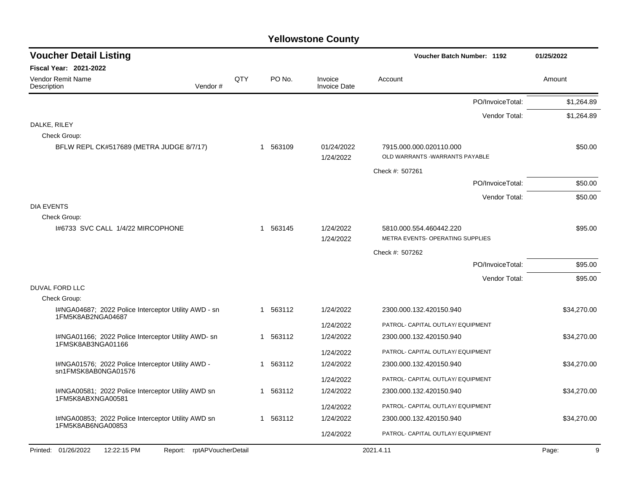| <b>Voucher Detail Listing</b>                                             |                    |     |              |                                | Voucher Batch Number: 1192                                  | 01/25/2022  |
|---------------------------------------------------------------------------|--------------------|-----|--------------|--------------------------------|-------------------------------------------------------------|-------------|
| <b>Fiscal Year: 2021-2022</b>                                             |                    |     |              |                                |                                                             |             |
| <b>Vendor Remit Name</b><br>Description                                   | Vendor#            | QTY | PO No.       | Invoice<br><b>Invoice Date</b> | Account                                                     | Amount      |
|                                                                           |                    |     |              |                                | PO/InvoiceTotal:                                            | \$1,264.89  |
|                                                                           |                    |     |              |                                | Vendor Total:                                               | \$1,264.89  |
| DALKE, RILEY<br>Check Group:                                              |                    |     |              |                                |                                                             |             |
| BFLW REPL CK#517689 (METRA JUDGE 8/7/17)                                  |                    |     | 563109<br>1  | 01/24/2022<br>1/24/2022        | 7915.000.000.020110.000<br>OLD WARRANTS -WARRANTS PAYABLE   | \$50.00     |
|                                                                           |                    |     |              |                                | Check #: 507261                                             |             |
|                                                                           |                    |     |              |                                | PO/InvoiceTotal:                                            | \$50.00     |
|                                                                           |                    |     |              |                                | Vendor Total:                                               | \$50.00     |
| <b>DIA EVENTS</b><br>Check Group:                                         |                    |     |              |                                |                                                             |             |
| 1#6733 SVC CALL 1/4/22 MIRCOPHONE                                         |                    |     | 1 563145     | 1/24/2022<br>1/24/2022         | 5810.000.554.460442.220<br>METRA EVENTS- OPERATING SUPPLIES | \$95.00     |
|                                                                           |                    |     |              |                                | Check #: 507262                                             |             |
|                                                                           |                    |     |              |                                | PO/InvoiceTotal:                                            | \$95.00     |
|                                                                           |                    |     |              |                                | Vendor Total:                                               | \$95.00     |
| DUVAL FORD LLC                                                            |                    |     |              |                                |                                                             |             |
| Check Group:                                                              |                    |     |              |                                |                                                             |             |
| I#NGA04687; 2022 Police Interceptor Utility AWD - sn<br>1FM5K8AB2NGA04687 |                    |     | 563112<br>-1 | 1/24/2022                      | 2300.000.132.420150.940                                     | \$34,270.00 |
|                                                                           |                    |     |              | 1/24/2022                      | PATROL- CAPITAL OUTLAY/ EQUIPMENT                           |             |
| I#NGA01166; 2022 Police Interceptor Utility AWD- sn<br>1FMSK8AB3NGA01166  |                    |     | 563112<br>-1 | 1/24/2022                      | 2300.000.132.420150.940                                     | \$34,270.00 |
|                                                                           |                    |     |              | 1/24/2022                      | PATROL- CAPITAL OUTLAY/ EQUIPMENT                           |             |
| I#NGA01576; 2022 Police Interceptor Utility AWD -<br>sn1FMSK8AB0NGA01576  |                    |     | 563112<br>-1 | 1/24/2022                      | 2300.000.132.420150.940                                     | \$34,270.00 |
|                                                                           |                    |     |              | 1/24/2022                      | PATROL- CAPITAL OUTLAY/ EQUIPMENT                           |             |
| I#NGA00581; 2022 Police Interceptor Utility AWD sn<br>1FM5K8ABXNGA00581   |                    |     | 563112<br>1  | 1/24/2022                      | 2300.000.132.420150.940                                     | \$34,270.00 |
|                                                                           |                    |     |              | 1/24/2022                      | PATROL- CAPITAL OUTLAY/ EQUIPMENT                           |             |
| I#NGA00853; 2022 Police Interceptor Utility AWD sn<br>1FM5K8AB6NGA00853   |                    |     | 563112<br>1  | 1/24/2022                      | 2300.000.132.420150.940                                     | \$34,270.00 |
|                                                                           |                    |     |              | 1/24/2022                      | PATROL- CAPITAL OUTLAY/ EQUIPMENT                           |             |
| Printed: 01/26/2022<br>12:22:15 PM<br>Report:                             | rptAPVoucherDetail |     |              |                                | 2021.4.11                                                   | Page:<br>9  |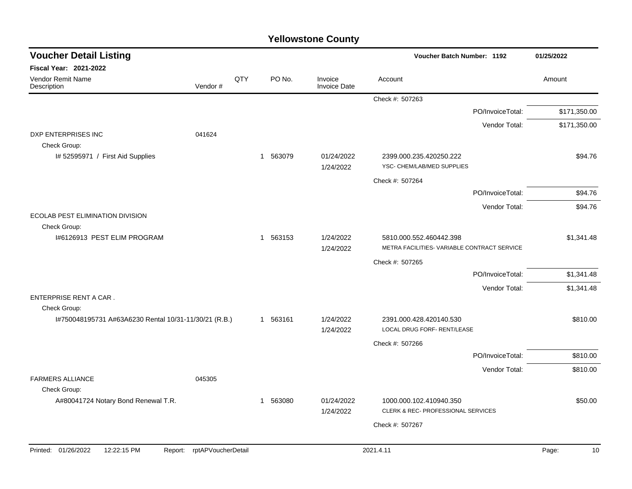| <b>Voucher Detail Listing</b>                         |                    |     |             |                                | Voucher Batch Number: 1192                             | 01/25/2022   |
|-------------------------------------------------------|--------------------|-----|-------------|--------------------------------|--------------------------------------------------------|--------------|
| Fiscal Year: 2021-2022                                |                    |     |             |                                |                                                        |              |
| Vendor Remit Name<br>Description                      | Vendor#            | QTY | PO No.      | Invoice<br><b>Invoice Date</b> | Account                                                | Amount       |
|                                                       |                    |     |             |                                | Check #: 507263                                        |              |
|                                                       |                    |     |             |                                | PO/InvoiceTotal:                                       | \$171,350.00 |
|                                                       |                    |     |             |                                | Vendor Total:                                          | \$171,350.00 |
| DXP ENTERPRISES INC<br>Check Group:                   | 041624             |     |             |                                |                                                        |              |
| I# 52595971 / First Aid Supplies                      |                    |     | 1 563079    | 01/24/2022<br>1/24/2022        | 2399.000.235.420250.222<br>YSC- CHEM/LAB/MED SUPPLIES  | \$94.76      |
|                                                       |                    |     |             |                                | Check #: 507264                                        |              |
|                                                       |                    |     |             |                                | PO/InvoiceTotal:                                       | \$94.76      |
|                                                       |                    |     |             |                                | Vendor Total:                                          | \$94.76      |
| ECOLAB PEST ELIMINATION DIVISION                      |                    |     |             |                                |                                                        |              |
| Check Group:<br>1#6126913 PEST ELIM PROGRAM           |                    |     | 1 563153    | 1/24/2022                      | 5810.000.552.460442.398                                | \$1,341.48   |
|                                                       |                    |     |             | 1/24/2022                      | METRA FACILITIES- VARIABLE CONTRACT SERVICE            |              |
|                                                       |                    |     |             |                                | Check #: 507265                                        |              |
|                                                       |                    |     |             |                                | PO/InvoiceTotal:                                       | \$1,341.48   |
|                                                       |                    |     |             |                                | Vendor Total:                                          | \$1,341.48   |
| ENTERPRISE RENT A CAR.<br>Check Group:                |                    |     |             |                                |                                                        |              |
| I#750048195731 A#63A6230 Rental 10/31-11/30/21 (R.B.) |                    |     | 1 563161    | 1/24/2022<br>1/24/2022         | 2391.000.428.420140.530<br>LOCAL DRUG FORF- RENT/LEASE | \$810.00     |
|                                                       |                    |     |             |                                | Check #: 507266                                        |              |
|                                                       |                    |     |             |                                | PO/InvoiceTotal:                                       | \$810.00     |
|                                                       |                    |     |             |                                | Vendor Total:                                          | \$810.00     |
| <b>FARMERS ALLIANCE</b>                               | 045305             |     |             |                                |                                                        |              |
| Check Group:<br>A#80041724 Notary Bond Renewal T.R.   |                    |     | 563080<br>1 | 01/24/2022                     | 1000.000.102.410940.350                                | \$50.00      |
|                                                       |                    |     |             | 1/24/2022                      | CLERK & REC- PROFESSIONAL SERVICES                     |              |
|                                                       |                    |     |             |                                | Check #: 507267                                        |              |
|                                                       |                    |     |             |                                |                                                        |              |
| Printed: 01/26/2022<br>12:22:15 PM<br>Report:         | rptAPVoucherDetail |     |             |                                | 2021.4.11                                              | 10<br>Page:  |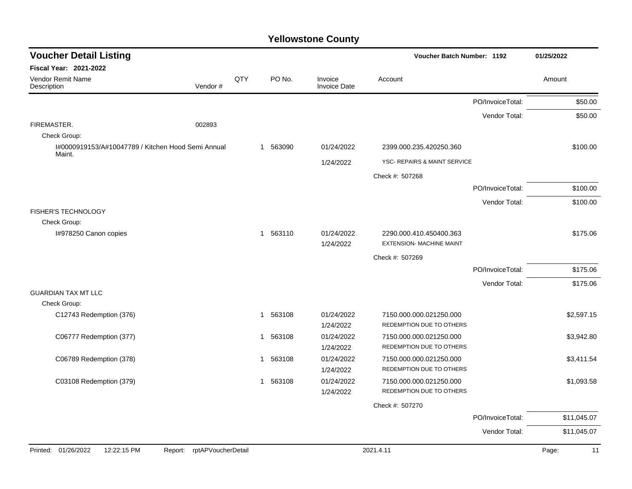| <b>Voucher Detail Listing</b>                                |                               |     |                        |                                | Voucher Batch Number: 1192                                 |                  | 01/25/2022  |
|--------------------------------------------------------------|-------------------------------|-----|------------------------|--------------------------------|------------------------------------------------------------|------------------|-------------|
| Fiscal Year: 2021-2022                                       |                               |     |                        |                                |                                                            |                  |             |
| Vendor Remit Name<br>Description                             | Vendor#                       | QTY | PO No.                 | Invoice<br><b>Invoice Date</b> | Account                                                    |                  | Amount      |
|                                                              |                               |     |                        |                                |                                                            | PO/InvoiceTotal: | \$50.00     |
|                                                              |                               |     |                        |                                |                                                            | Vendor Total:    | \$50.00     |
| FIREMASTER.<br>Check Group:                                  | 002893                        |     |                        |                                |                                                            |                  |             |
| I#0000919153/A#10047789 / Kitchen Hood Semi Annual<br>Maint. |                               |     | 563090<br>1            | 01/24/2022                     | 2399.000.235.420250.360                                    |                  | \$100.00    |
|                                                              |                               |     |                        | 1/24/2022                      | YSC- REPAIRS & MAINT SERVICE                               |                  |             |
|                                                              |                               |     |                        |                                | Check #: 507268                                            |                  |             |
|                                                              |                               |     |                        |                                |                                                            | PO/InvoiceTotal: | \$100.00    |
|                                                              |                               |     |                        |                                |                                                            | Vendor Total:    | \$100.00    |
| <b>FISHER'S TECHNOLOGY</b>                                   |                               |     |                        |                                |                                                            |                  |             |
| Check Group:                                                 |                               |     |                        |                                |                                                            |                  |             |
| I#978250 Canon copies                                        |                               |     | 563110<br>$\mathbf{1}$ | 01/24/2022<br>1/24/2022        | 2290.000.410.450400.363<br><b>EXTENSION- MACHINE MAINT</b> |                  | \$175.06    |
|                                                              |                               |     |                        |                                | Check #: 507269                                            |                  |             |
|                                                              |                               |     |                        |                                |                                                            | PO/InvoiceTotal: | \$175.06    |
|                                                              |                               |     |                        |                                |                                                            | Vendor Total:    | \$175.06    |
| <b>GUARDIAN TAX MT LLC</b>                                   |                               |     |                        |                                |                                                            |                  |             |
| Check Group:<br>C12743 Redemption (376)                      |                               |     | 563108<br>-1           | 01/24/2022                     | 7150.000.000.021250.000                                    |                  | \$2,597.15  |
|                                                              |                               |     |                        | 1/24/2022                      | REDEMPTION DUE TO OTHERS                                   |                  |             |
| C06777 Redemption (377)                                      |                               |     | 563108<br>$\mathbf{1}$ | 01/24/2022                     | 7150.000.000.021250.000                                    |                  | \$3,942.80  |
|                                                              |                               |     |                        | 1/24/2022                      | REDEMPTION DUE TO OTHERS                                   |                  |             |
| C06789 Redemption (378)                                      |                               |     | 563108<br>$\mathbf{1}$ | 01/24/2022                     | 7150.000.000.021250.000                                    |                  | \$3,411.54  |
|                                                              |                               |     |                        | 1/24/2022                      | REDEMPTION DUE TO OTHERS                                   |                  |             |
| C03108 Redemption (379)                                      |                               |     | 1 563108               | 01/24/2022<br>1/24/2022        | 7150.000.000.021250.000<br>REDEMPTION DUE TO OTHERS        |                  | \$1,093.58  |
|                                                              |                               |     |                        |                                |                                                            |                  |             |
|                                                              |                               |     |                        |                                | Check #: 507270                                            | PO/InvoiceTotal: | \$11,045.07 |
|                                                              |                               |     |                        |                                |                                                            |                  |             |
|                                                              |                               |     |                        |                                |                                                            | Vendor Total:    | \$11,045.07 |
| Printed: 01/26/2022<br>12:22:15 PM                           | rptAPVoucherDetail<br>Report: |     |                        |                                | 2021.4.11                                                  |                  | Page:<br>11 |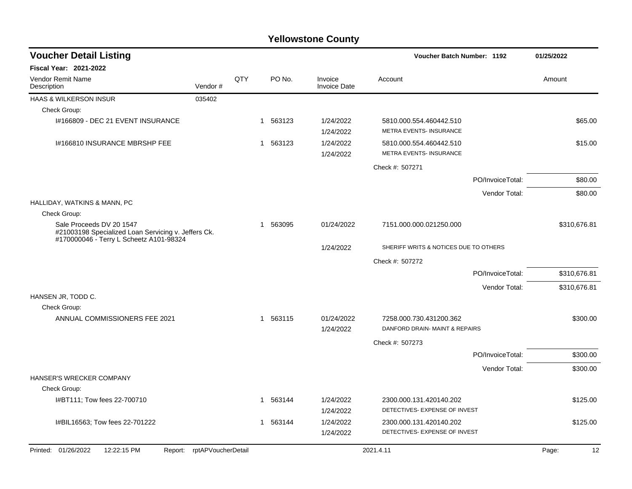| <b>Voucher Detail Listing</b>                                                                                              |                            |     |              |                                | Voucher Batch Number: 1192                                |                  | 01/25/2022   |  |
|----------------------------------------------------------------------------------------------------------------------------|----------------------------|-----|--------------|--------------------------------|-----------------------------------------------------------|------------------|--------------|--|
| <b>Fiscal Year: 2021-2022</b>                                                                                              |                            |     |              |                                |                                                           |                  |              |  |
| <b>Vendor Remit Name</b><br>Description                                                                                    | Vendor#                    | QTY | PO No.       | Invoice<br><b>Invoice Date</b> | Account                                                   |                  | Amount       |  |
| HAAS & WILKERSON INSUR                                                                                                     | 035402                     |     |              |                                |                                                           |                  |              |  |
| Check Group:                                                                                                               |                            |     |              |                                |                                                           |                  |              |  |
| I#166809 - DEC 21 EVENT INSURANCE                                                                                          |                            |     | 1 563123     | 1/24/2022<br>1/24/2022         | 5810.000.554.460442.510<br><b>METRA EVENTS- INSURANCE</b> |                  | \$65.00      |  |
| 1#166810 INSURANCE MBRSHP FEE                                                                                              |                            |     | 1 563123     | 1/24/2022<br>1/24/2022         | 5810.000.554.460442.510<br><b>METRA EVENTS- INSURANCE</b> |                  | \$15.00      |  |
|                                                                                                                            |                            |     |              |                                | Check #: 507271                                           |                  |              |  |
|                                                                                                                            |                            |     |              |                                |                                                           | PO/InvoiceTotal: | \$80.00      |  |
|                                                                                                                            |                            |     |              |                                |                                                           | Vendor Total:    | \$80.00      |  |
| HALLIDAY, WATKINS & MANN, PC                                                                                               |                            |     |              |                                |                                                           |                  |              |  |
| Check Group:                                                                                                               |                            |     |              |                                |                                                           |                  |              |  |
| Sale Proceeds DV 20 1547<br>#21003198 Specialized Loan Servicing v. Jeffers Ck.<br>#170000046 - Terry L Scheetz A101-98324 |                            |     | 563095<br>-1 | 01/24/2022                     | 7151.000.000.021250.000                                   |                  | \$310,676.81 |  |
|                                                                                                                            |                            |     |              | 1/24/2022                      | SHERIFF WRITS & NOTICES DUE TO OTHERS                     |                  |              |  |
|                                                                                                                            |                            |     |              |                                | Check #: 507272                                           |                  |              |  |
|                                                                                                                            |                            |     |              |                                |                                                           | PO/InvoiceTotal: | \$310,676.81 |  |
|                                                                                                                            |                            |     |              |                                |                                                           | Vendor Total:    | \$310,676.81 |  |
| HANSEN JR, TODD C.<br>Check Group:                                                                                         |                            |     |              |                                |                                                           |                  |              |  |
| ANNUAL COMMISSIONERS FEE 2021                                                                                              |                            |     | 1 563115     | 01/24/2022<br>1/24/2022        | 7258.000.730.431200.362<br>DANFORD DRAIN- MAINT & REPAIRS |                  | \$300.00     |  |
|                                                                                                                            |                            |     |              |                                | Check #: 507273                                           |                  |              |  |
|                                                                                                                            |                            |     |              |                                |                                                           | PO/InvoiceTotal: | \$300.00     |  |
|                                                                                                                            |                            |     |              |                                |                                                           | Vendor Total:    | \$300.00     |  |
| HANSER'S WRECKER COMPANY                                                                                                   |                            |     |              |                                |                                                           |                  |              |  |
| Check Group:                                                                                                               |                            |     |              |                                |                                                           |                  |              |  |
| I#BT111; Tow fees 22-700710                                                                                                |                            |     | 563144       | 1/24/2022                      | 2300.000.131.420140.202                                   |                  | \$125.00     |  |
|                                                                                                                            |                            |     |              | 1/24/2022                      | DETECTIVES- EXPENSE OF INVEST                             |                  |              |  |
| I#BIL16563; Tow fees 22-701222                                                                                             |                            |     | 563144<br>1  | 1/24/2022                      | 2300.000.131.420140.202                                   |                  | \$125.00     |  |
|                                                                                                                            |                            |     |              | 1/24/2022                      | DETECTIVES- EXPENSE OF INVEST                             |                  |              |  |
| Printed: 01/26/2022<br>12:22:15 PM                                                                                         | Report: rptAPVoucherDetail |     |              |                                | 2021.4.11                                                 |                  | 12<br>Page:  |  |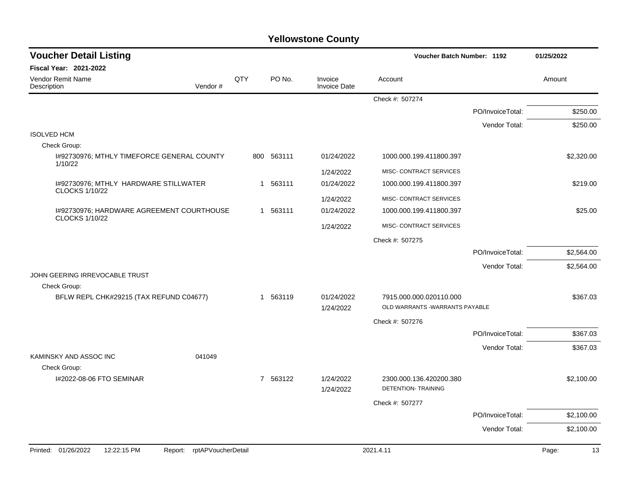| <b>Voucher Detail Listing</b>                                      |                    |          |                                | Voucher Batch Number: 1192                                |                  | 01/25/2022  |
|--------------------------------------------------------------------|--------------------|----------|--------------------------------|-----------------------------------------------------------|------------------|-------------|
| Fiscal Year: 2021-2022                                             |                    |          |                                |                                                           |                  |             |
| Vendor Remit Name<br>Vendor#<br>Description                        | QTY                | PO No.   | Invoice<br><b>Invoice Date</b> | Account                                                   |                  | Amount      |
|                                                                    |                    |          |                                | Check #: 507274                                           |                  |             |
|                                                                    |                    |          |                                |                                                           | PO/InvoiceTotal: | \$250.00    |
|                                                                    |                    |          |                                |                                                           | Vendor Total:    | \$250.00    |
| <b>ISOLVED HCM</b>                                                 |                    |          |                                |                                                           |                  |             |
| Check Group:                                                       |                    |          |                                |                                                           |                  |             |
| 1#92730976; MTHLY TIMEFORCE GENERAL COUNTY<br>1/10/22              | 800                | 563111   | 01/24/2022                     | 1000.000.199.411800.397                                   |                  | \$2,320.00  |
|                                                                    |                    |          | 1/24/2022                      | MISC- CONTRACT SERVICES                                   |                  |             |
| 1#92730976; MTHLY HARDWARE STILLWATER<br><b>CLOCKS 1/10/22</b>     |                    | 1 563111 | 01/24/2022                     | 1000.000.199.411800.397                                   |                  | \$219.00    |
|                                                                    |                    |          | 1/24/2022                      | MISC- CONTRACT SERVICES                                   |                  |             |
| I#92730976; HARDWARE AGREEMENT COURTHOUSE<br><b>CLOCKS 1/10/22</b> |                    | 1 563111 | 01/24/2022                     | 1000.000.199.411800.397                                   |                  | \$25.00     |
|                                                                    |                    |          | 1/24/2022                      | MISC- CONTRACT SERVICES                                   |                  |             |
|                                                                    |                    |          |                                | Check #: 507275                                           |                  |             |
|                                                                    |                    |          |                                |                                                           | PO/InvoiceTotal: | \$2,564.00  |
|                                                                    |                    |          |                                |                                                           | Vendor Total:    | \$2,564.00  |
| JOHN GEERING IRREVOCABLE TRUST                                     |                    |          |                                |                                                           |                  |             |
| Check Group:                                                       |                    |          |                                |                                                           |                  |             |
| BFLW REPL CHK#29215 (TAX REFUND C04677)                            |                    | 1 563119 | 01/24/2022<br>1/24/2022        | 7915.000.000.020110.000<br>OLD WARRANTS -WARRANTS PAYABLE |                  | \$367.03    |
|                                                                    |                    |          |                                | Check #: 507276                                           |                  |             |
|                                                                    |                    |          |                                |                                                           | PO/InvoiceTotal: | \$367.03    |
|                                                                    |                    |          |                                |                                                           | Vendor Total:    | \$367.03    |
| KAMINSKY AND ASSOC INC<br>041049                                   |                    |          |                                |                                                           |                  |             |
| Check Group:                                                       |                    |          |                                |                                                           |                  |             |
| 1#2022-08-06 FTO SEMINAR                                           |                    | 7 563122 | 1/24/2022<br>1/24/2022         | 2300.000.136.420200.380<br><b>DETENTION- TRAINING</b>     |                  | \$2,100.00  |
|                                                                    |                    |          |                                | Check #: 507277                                           |                  |             |
|                                                                    |                    |          |                                |                                                           | PO/InvoiceTotal: | \$2,100.00  |
|                                                                    |                    |          |                                |                                                           | Vendor Total:    | \$2,100.00  |
|                                                                    |                    |          |                                |                                                           |                  |             |
| Printed: 01/26/2022<br>12:22:15 PM<br>Report:                      | rptAPVoucherDetail |          |                                | 2021.4.11                                                 |                  | 13<br>Page: |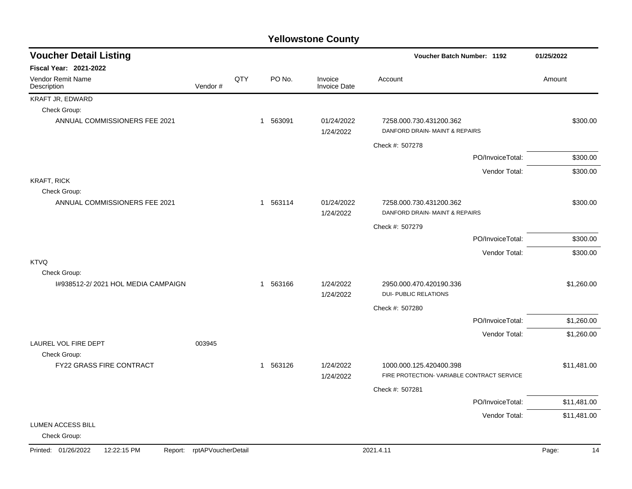| <b>Voucher Detail Listing</b><br><b>Voucher Batch Number: 1192</b> |                    | 01/25/2022 |          |                                |                                                                       |                  |             |
|--------------------------------------------------------------------|--------------------|------------|----------|--------------------------------|-----------------------------------------------------------------------|------------------|-------------|
| <b>Fiscal Year: 2021-2022</b>                                      |                    |            |          |                                |                                                                       |                  |             |
| Vendor Remit Name<br>Description                                   | Vendor#            | QTY        | PO No.   | Invoice<br><b>Invoice Date</b> | Account                                                               |                  | Amount      |
| KRAFT JR, EDWARD                                                   |                    |            |          |                                |                                                                       |                  |             |
| Check Group:                                                       |                    |            |          |                                |                                                                       |                  |             |
| ANNUAL COMMISSIONERS FEE 2021                                      |                    |            | 1 563091 | 01/24/2022<br>1/24/2022        | 7258.000.730.431200.362<br>DANFORD DRAIN- MAINT & REPAIRS             |                  | \$300.00    |
|                                                                    |                    |            |          |                                | Check #: 507278                                                       |                  |             |
|                                                                    |                    |            |          |                                |                                                                       | PO/InvoiceTotal: | \$300.00    |
|                                                                    |                    |            |          |                                |                                                                       | Vendor Total:    | \$300.00    |
| <b>KRAFT, RICK</b><br>Check Group:                                 |                    |            |          |                                |                                                                       |                  |             |
| ANNUAL COMMISSIONERS FEE 2021                                      |                    |            | 1 563114 | 01/24/2022<br>1/24/2022        | 7258.000.730.431200.362<br>DANFORD DRAIN- MAINT & REPAIRS             |                  | \$300.00    |
|                                                                    |                    |            |          |                                | Check #: 507279                                                       |                  |             |
|                                                                    |                    |            |          |                                |                                                                       | PO/InvoiceTotal: | \$300.00    |
|                                                                    |                    |            |          |                                |                                                                       | Vendor Total:    | \$300.00    |
| <b>KTVQ</b>                                                        |                    |            |          |                                |                                                                       |                  |             |
| Check Group:                                                       |                    |            |          |                                |                                                                       |                  |             |
| 1#938512-2/2021 HOL MEDIA CAMPAIGN                                 |                    |            | 1 563166 | 1/24/2022<br>1/24/2022         | 2950.000.470.420190.336<br><b>DUI- PUBLIC RELATIONS</b>               |                  | \$1,260.00  |
|                                                                    |                    |            |          |                                | Check #: 507280                                                       |                  |             |
|                                                                    |                    |            |          |                                |                                                                       | PO/InvoiceTotal: | \$1,260.00  |
|                                                                    |                    |            |          |                                |                                                                       | Vendor Total:    | \$1,260.00  |
| LAUREL VOL FIRE DEPT                                               | 003945             |            |          |                                |                                                                       |                  |             |
| Check Group:                                                       |                    |            |          |                                |                                                                       |                  |             |
| FY22 GRASS FIRE CONTRACT                                           |                    |            | 1 563126 | 1/24/2022<br>1/24/2022         | 1000.000.125.420400.398<br>FIRE PROTECTION- VARIABLE CONTRACT SERVICE |                  | \$11,481.00 |
|                                                                    |                    |            |          |                                | Check #: 507281                                                       |                  |             |
|                                                                    |                    |            |          |                                |                                                                       | PO/InvoiceTotal: | \$11,481.00 |
|                                                                    |                    |            |          |                                |                                                                       | Vendor Total:    | \$11,481.00 |
| <b>LUMEN ACCESS BILL</b><br>Check Group:                           |                    |            |          |                                |                                                                       |                  |             |
| Printed: 01/26/2022<br>12:22:15 PM<br>Report:                      | rptAPVoucherDetail |            |          |                                | 2021.4.11                                                             |                  | 14<br>Page: |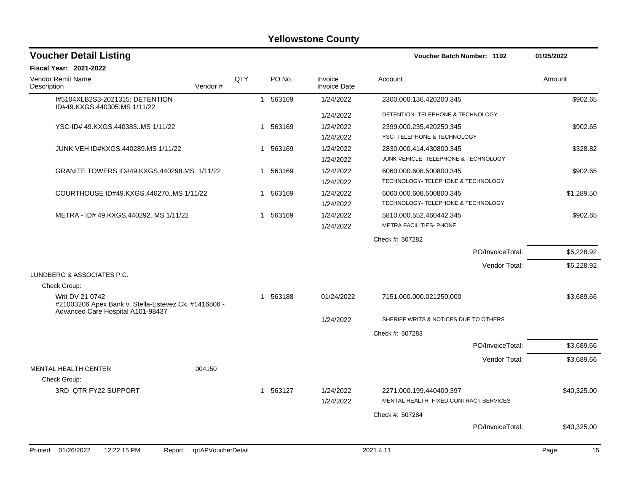| <b>Voucher Detail Listing</b>                                                                                |                    |     |              |          |                                | Voucher Batch Number: 1192             |                  | 01/25/2022  |
|--------------------------------------------------------------------------------------------------------------|--------------------|-----|--------------|----------|--------------------------------|----------------------------------------|------------------|-------------|
| Fiscal Year: 2021-2022                                                                                       |                    |     |              |          |                                |                                        |                  |             |
| Vendor Remit Name<br>Description                                                                             | Vendor#            | QTY |              | PO No.   | Invoice<br><b>Invoice Date</b> | Account                                |                  | Amount      |
| I#5104XLB2S3-2021315; DETENTION<br>ID#49.KXGS.440305.MS 1/11/22                                              |                    |     |              | 1 563169 | 1/24/2022                      | 2300.000.136.420200.345                |                  | \$902.65    |
|                                                                                                              |                    |     |              |          | 1/24/2022                      | DETENTION- TELEPHONE & TECHNOLOGY      |                  |             |
| YSC-ID# 49.KXGS.440383MS 1/11/22                                                                             |                    |     | 1            | 563169   | 1/24/2022                      | 2399.000.235.420250.345                |                  | \$902.65    |
|                                                                                                              |                    |     |              |          | 1/24/2022                      | YSC-TELEPHONE & TECHNOLOGY             |                  |             |
| JUNK VEH ID#KXGS.440289.MS 1/11/22                                                                           |                    |     |              | 1 563169 | 1/24/2022                      | 2830.000.414.430800.345                |                  | \$328.82    |
|                                                                                                              |                    |     |              |          | 1/24/2022                      | JUNK VEHICLE- TELEPHONE & TECHNOLOGY   |                  |             |
| GRANITE TOWERS ID#49.KXGS.440298.MS 1/11/22                                                                  |                    |     |              | 1 563169 | 1/24/2022                      | 6060.000.608.500800.345                |                  | \$902.65    |
|                                                                                                              |                    |     |              |          | 1/24/2022                      | TECHNOLOGY- TELEPHONE & TECHNOLOGY     |                  |             |
| COURTHOUSE ID#49.KXGS.440270MS 1/11/22                                                                       |                    |     | 1            | 563169   | 1/24/2022                      | 6060.000.608.500800.345                |                  | \$1,289.50  |
|                                                                                                              |                    |     |              |          | 1/24/2022                      | TECHNOLOGY- TELEPHONE & TECHNOLOGY     |                  |             |
| METRA - ID# 49.KXGS.440292MS 1/11/22                                                                         |                    |     | $\mathbf{1}$ | 563169   | 1/24/2022                      | 5810.000.552.460442.345                |                  | \$902.65    |
|                                                                                                              |                    |     |              |          | 1/24/2022                      | <b>METRA FACILITIES- PHONE</b>         |                  |             |
|                                                                                                              |                    |     |              |          |                                | Check #: 507282                        |                  |             |
|                                                                                                              |                    |     |              |          |                                |                                        | PO/InvoiceTotal: | \$5,228.92  |
|                                                                                                              |                    |     |              |          |                                |                                        | Vendor Total:    | \$5,228.92  |
| LUNDBERG & ASSOCIATES P.C.                                                                                   |                    |     |              |          |                                |                                        |                  |             |
| Check Group:                                                                                                 |                    |     |              |          |                                |                                        |                  |             |
| Writ DV 21 0742<br>#21003206 Apex Bank v. Stella-Estevez Ck. #1416806 -<br>Advanced Care Hospital A101-98437 |                    |     |              | 1 563188 | 01/24/2022                     | 7151.000.000.021250.000                |                  | \$3,689.66  |
|                                                                                                              |                    |     |              |          | 1/24/2022                      | SHERIFF WRITS & NOTICES DUE TO OTHERS  |                  |             |
|                                                                                                              |                    |     |              |          |                                | Check #: 507283                        |                  |             |
|                                                                                                              |                    |     |              |          |                                |                                        | PO/InvoiceTotal: | \$3,689.66  |
|                                                                                                              |                    |     |              |          |                                |                                        | Vendor Total:    | \$3,689.66  |
| MENTAL HEALTH CENTER                                                                                         | 004150             |     |              |          |                                |                                        |                  |             |
| Check Group:                                                                                                 |                    |     |              |          |                                |                                        |                  |             |
| 3RD QTR FY22 SUPPORT                                                                                         |                    |     | $\mathbf{1}$ | 563127   | 1/24/2022                      | 2271.000.199.440400.397                |                  | \$40,325.00 |
|                                                                                                              |                    |     |              |          | 1/24/2022                      | MENTAL HEALTH- FIXED CONTRACT SERVICES |                  |             |
|                                                                                                              |                    |     |              |          |                                | Check #: 507284                        |                  |             |
|                                                                                                              |                    |     |              |          |                                |                                        | PO/InvoiceTotal: | \$40,325.00 |
|                                                                                                              |                    |     |              |          |                                |                                        |                  |             |
| Printed: 01/26/2022<br>12:22:15 PM<br>Report:                                                                | rptAPVoucherDetail |     |              |          |                                | 2021.4.11                              |                  | 15<br>Page: |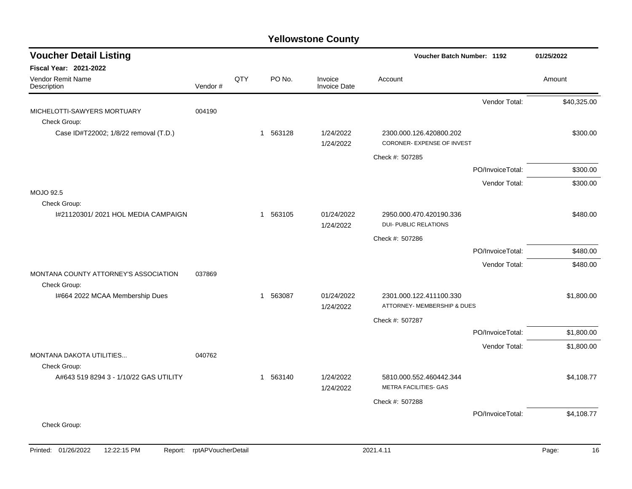| <b>Voucher Detail Listing</b>                         |         |     |          |                                | Voucher Batch Number: 1192                              |                  | 01/25/2022  |
|-------------------------------------------------------|---------|-----|----------|--------------------------------|---------------------------------------------------------|------------------|-------------|
| <b>Fiscal Year: 2021-2022</b>                         |         |     |          |                                |                                                         |                  |             |
| Vendor Remit Name<br>Description                      | Vendor# | QTY | PO No.   | Invoice<br><b>Invoice Date</b> | Account                                                 |                  | Amount      |
| MICHELOTTI-SAWYERS MORTUARY                           | 004190  |     |          |                                |                                                         | Vendor Total:    | \$40,325.00 |
| Check Group:                                          |         |     |          |                                |                                                         |                  |             |
| Case ID#T22002; 1/8/22 removal (T.D.)                 |         |     | 1 563128 | 1/24/2022<br>1/24/2022         | 2300.000.126.420800.202<br>CORONER- EXPENSE OF INVEST   |                  | \$300.00    |
|                                                       |         |     |          |                                | Check #: 507285                                         |                  |             |
|                                                       |         |     |          |                                |                                                         | PO/InvoiceTotal: | \$300.00    |
|                                                       |         |     |          |                                |                                                         | Vendor Total:    | \$300.00    |
| <b>MOJO 92.5</b>                                      |         |     |          |                                |                                                         |                  |             |
| Check Group:<br>1#21120301/2021 HOL MEDIA CAMPAIGN    |         |     | 1 563105 | 01/24/2022<br>1/24/2022        | 2950.000.470.420190.336<br><b>DUI- PUBLIC RELATIONS</b> |                  | \$480.00    |
|                                                       |         |     |          |                                | Check #: 507286                                         |                  |             |
|                                                       |         |     |          |                                |                                                         | PO/InvoiceTotal: | \$480.00    |
|                                                       |         |     |          |                                |                                                         | Vendor Total:    | \$480.00    |
| MONTANA COUNTY ATTORNEY'S ASSOCIATION<br>Check Group: | 037869  |     |          |                                |                                                         |                  |             |
| I#664 2022 MCAA Membership Dues                       |         |     | 1 563087 | 01/24/2022<br>1/24/2022        | 2301.000.122.411100.330<br>ATTORNEY- MEMBERSHIP & DUES  |                  | \$1,800.00  |
|                                                       |         |     |          |                                | Check #: 507287                                         |                  |             |
|                                                       |         |     |          |                                |                                                         | PO/InvoiceTotal: | \$1,800.00  |
|                                                       |         |     |          |                                |                                                         | Vendor Total:    | \$1,800.00  |
| <b>MONTANA DAKOTA UTILITIES</b><br>Check Group:       | 040762  |     |          |                                |                                                         |                  |             |
| A#643 519 8294 3 - 1/10/22 GAS UTILITY                |         |     | 1 563140 | 1/24/2022<br>1/24/2022         | 5810.000.552.460442.344<br><b>METRA FACILITIES- GAS</b> |                  | \$4,108.77  |
|                                                       |         |     |          |                                | Check #: 507288                                         |                  |             |
|                                                       |         |     |          |                                |                                                         | PO/InvoiceTotal: | \$4,108.77  |
| Check Group:                                          |         |     |          |                                |                                                         |                  |             |
|                                                       |         |     |          |                                |                                                         |                  |             |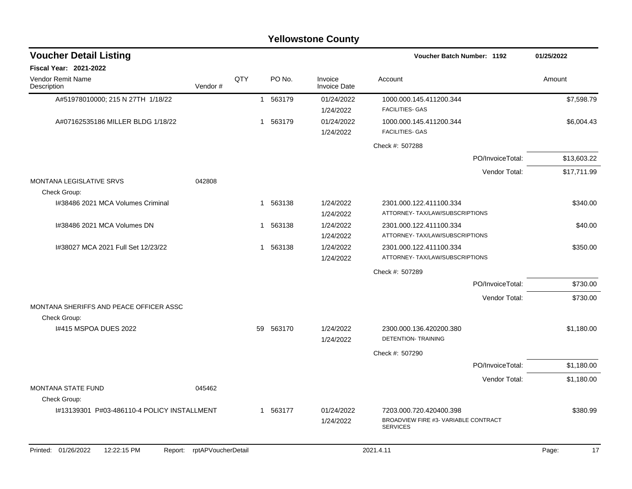|                                                                   |                            |     |          | <b>Yellowstone County</b>      |                                                            |                  |             |
|-------------------------------------------------------------------|----------------------------|-----|----------|--------------------------------|------------------------------------------------------------|------------------|-------------|
| <b>Voucher Detail Listing</b>                                     |                            |     |          |                                | Voucher Batch Number: 1192                                 |                  | 01/25/2022  |
| <b>Fiscal Year: 2021-2022</b><br>Vendor Remit Name<br>Description | Vendor#                    | QTY | PO No.   | Invoice<br><b>Invoice Date</b> | Account                                                    |                  | Amount      |
| A#51978010000; 215 N 27TH 1/18/22                                 |                            |     | 1 563179 | 01/24/2022<br>1/24/2022        | 1000.000.145.411200.344<br><b>FACILITIES- GAS</b>          |                  | \$7,598.79  |
| A#07162535186 MILLER BLDG 1/18/22                                 |                            | -1  | 563179   | 01/24/2022<br>1/24/2022        | 1000.000.145.411200.344<br><b>FACILITIES- GAS</b>          |                  | \$6,004.43  |
|                                                                   |                            |     |          |                                | Check #: 507288                                            |                  |             |
|                                                                   |                            |     |          |                                |                                                            | PO/InvoiceTotal: | \$13,603.22 |
|                                                                   |                            |     |          |                                |                                                            | Vendor Total:    | \$17,711.99 |
| <b>MONTANA LEGISLATIVE SRVS</b><br>Check Group:                   | 042808                     |     |          |                                |                                                            |                  |             |
| I#38486 2021 MCA Volumes Criminal                                 |                            | -1  | 563138   | 1/24/2022<br>1/24/2022         | 2301.000.122.411100.334<br>ATTORNEY- TAX/LAW/SUBSCRIPTIONS |                  | \$340.00    |
| 1#38486 2021 MCA Volumes DN                                       |                            | -1  | 563138   | 1/24/2022<br>1/24/2022         | 2301.000.122.411100.334<br>ATTORNEY- TAX/LAW/SUBSCRIPTIONS |                  | \$40.00     |
| I#38027 MCA 2021 Full Set 12/23/22                                |                            |     | 1 563138 | 1/24/2022<br>1/24/2022         | 2301.000.122.411100.334<br>ATTORNEY- TAX/LAW/SUBSCRIPTIONS |                  | \$350.00    |
|                                                                   |                            |     |          |                                | Check #: 507289                                            |                  |             |
|                                                                   |                            |     |          |                                |                                                            | PO/InvoiceTotal: | \$730.00    |
| MONTANA SHERIFFS AND PEACE OFFICER ASSC                           |                            |     |          |                                |                                                            | Vendor Total:    | \$730.00    |
| Check Group:                                                      |                            |     |          |                                |                                                            |                  |             |
| 1#415 MSPOA DUES 2022                                             |                            | 59  | 563170   | 1/24/2022<br>1/24/2022         | 2300.000.136.420200.380<br><b>DETENTION- TRAINING</b>      |                  | \$1,180.00  |
|                                                                   |                            |     |          |                                | Check #: 507290                                            |                  |             |
|                                                                   |                            |     |          |                                |                                                            | PO/InvoiceTotal: | \$1,180.00  |
|                                                                   |                            |     |          |                                |                                                            | Vendor Total:    | \$1,180.00  |
| <b>MONTANA STATE FUND</b><br>Check Group:                         | 045462                     |     |          |                                |                                                            |                  |             |
| 1#13139301 P#03-486110-4 POLICY INSTALLMENT                       |                            |     | 1 563177 | 01/24/2022                     | 7203.000.720.420400.398                                    |                  | \$380.99    |
|                                                                   |                            |     |          | 1/24/2022                      | BROADVIEW FIRE #3- VARIABLE CONTRACT<br><b>SERVICES</b>    |                  |             |
| Printed: 01/26/2022<br>12:22:15 PM                                | Report: rptAPVoucherDetail |     |          |                                | 2021.4.11                                                  |                  | Page:<br>17 |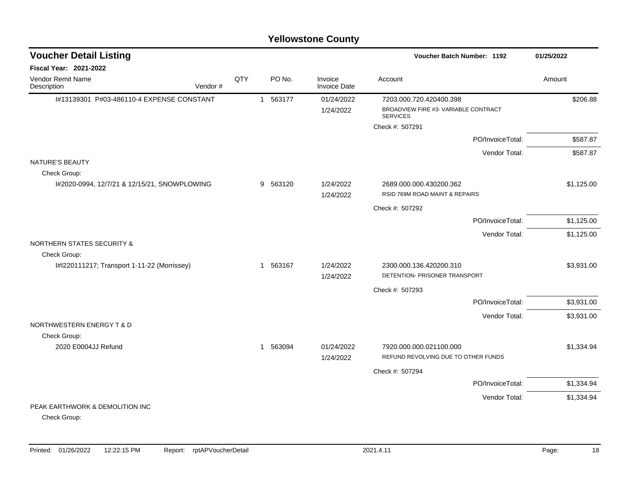| <b>Voucher Detail Listing</b>                |         |     |                       |                                | <b>Voucher Batch Number: 1192</b>                              | 01/25/2022 |
|----------------------------------------------|---------|-----|-----------------------|--------------------------------|----------------------------------------------------------------|------------|
| Fiscal Year: 2021-2022                       |         |     |                       |                                |                                                                |            |
| Vendor Remit Name<br>Description             | Vendor# | QTY | PO No.                | Invoice<br><b>Invoice Date</b> | Account                                                        | Amount     |
| I#13139301 P#03-486110-4 EXPENSE CONSTANT    |         |     | 1 563177              | 01/24/2022                     | 7203.000.720.420400.398                                        | \$206.88   |
|                                              |         |     |                       | 1/24/2022                      | BROADVIEW FIRE #3- VARIABLE CONTRACT<br><b>SERVICES</b>        |            |
|                                              |         |     |                       |                                | Check #: 507291                                                |            |
|                                              |         |     |                       |                                | PO/InvoiceTotal:                                               | \$587.87   |
|                                              |         |     |                       |                                | Vendor Total:                                                  | \$587.87   |
| NATURE'S BEAUTY<br>Check Group:              |         |     |                       |                                |                                                                |            |
| I#2020-0994, 12/7/21 & 12/15/21, SNOWPLOWING |         |     | 563120<br>9           | 1/24/2022                      | 2689.000.000.430200.362                                        | \$1,125.00 |
|                                              |         |     |                       | 1/24/2022                      | RSID 769M ROAD MAINT & REPAIRS                                 |            |
|                                              |         |     |                       |                                | Check #: 507292                                                |            |
|                                              |         |     |                       |                                | PO/InvoiceTotal:                                               | \$1,125.00 |
|                                              |         |     |                       |                                | Vendor Total:                                                  | \$1,125.00 |
| <b>NORTHERN STATES SECURITY &amp;</b>        |         |     |                       |                                |                                                                |            |
| Check Group:                                 |         |     |                       |                                |                                                                |            |
| I#I220111217; Transport 1-11-22 (Morrissey)  |         |     | 563167<br>$\mathbf 1$ | 1/24/2022<br>1/24/2022         | 2300.000.136.420200.310<br>DETENTION- PRISONER TRANSPORT       | \$3,931.00 |
|                                              |         |     |                       |                                | Check #: 507293                                                |            |
|                                              |         |     |                       |                                | PO/InvoiceTotal:                                               | \$3,931.00 |
|                                              |         |     |                       |                                | Vendor Total:                                                  | \$3,931.00 |
| NORTHWESTERN ENERGY T & D                    |         |     |                       |                                |                                                                |            |
| Check Group:                                 |         |     |                       |                                |                                                                |            |
| 2020 E0004JJ Refund                          |         |     | 1 563094              | 01/24/2022<br>1/24/2022        | 7920.000.000.021100.000<br>REFUND REVOLVING DUE TO OTHER FUNDS | \$1,334.94 |
|                                              |         |     |                       |                                |                                                                |            |
|                                              |         |     |                       |                                | Check #: 507294                                                |            |
|                                              |         |     |                       |                                | PO/InvoiceTotal:                                               | \$1,334.94 |
| PEAK EARTHWORK & DEMOLITION INC              |         |     |                       |                                | Vendor Total:                                                  | \$1,334.94 |
|                                              |         |     |                       |                                |                                                                |            |

Check Group: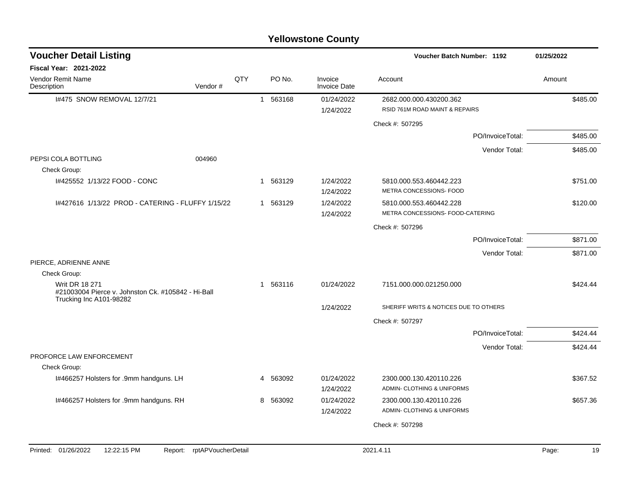|                                                                                                        |         |     |              |          | <b>Yellowstone County</b> |                                                             |               |            |
|--------------------------------------------------------------------------------------------------------|---------|-----|--------------|----------|---------------------------|-------------------------------------------------------------|---------------|------------|
| <b>Voucher Detail Listing</b>                                                                          |         |     |              |          |                           | Voucher Batch Number: 1192                                  |               | 01/25/2022 |
| <b>Fiscal Year: 2021-2022</b>                                                                          |         |     |              |          |                           |                                                             |               |            |
| Vendor Remit Name<br>Description                                                                       | Vendor# | QTY |              | PO No.   | Invoice<br>Invoice Date   | Account                                                     |               | Amount     |
| I#475 SNOW REMOVAL 12/7/21                                                                             |         |     | $\mathbf{1}$ | 563168   | 01/24/2022<br>1/24/2022   | 2682.000.000.430200.362<br>RSID 761M ROAD MAINT & REPAIRS   |               | \$485.00   |
|                                                                                                        |         |     |              |          |                           | Check #: 507295                                             |               |            |
|                                                                                                        |         |     |              |          |                           | PO/InvoiceTotal:                                            |               | \$485.00   |
|                                                                                                        |         |     |              |          |                           |                                                             | Vendor Total: | \$485.00   |
| PEPSI COLA BOTTLING<br>Check Group:                                                                    | 004960  |     |              |          |                           |                                                             |               |            |
| I#425552 1/13/22 FOOD - CONC                                                                           |         |     | $\mathbf{1}$ | 563129   | 1/24/2022<br>1/24/2022    | 5810.000.553.460442.223<br>METRA CONCESSIONS- FOOD          |               | \$751.00   |
| I#427616 1/13/22 PROD - CATERING - FLUFFY 1/15/22                                                      |         |     |              | 1 563129 | 1/24/2022<br>1/24/2022    | 5810.000.553.460442.228<br>METRA CONCESSIONS- FOOD-CATERING |               | \$120.00   |
|                                                                                                        |         |     |              |          |                           | Check #: 507296                                             |               |            |
|                                                                                                        |         |     |              |          |                           | PO/InvoiceTotal:                                            |               | \$871.00   |
|                                                                                                        |         |     |              |          |                           |                                                             | Vendor Total: | \$871.00   |
| PIERCE, ADRIENNE ANNE                                                                                  |         |     |              |          |                           |                                                             |               |            |
| Check Group:                                                                                           |         |     |              |          |                           |                                                             |               |            |
| <b>Writ DR 18 271</b><br>#21003004 Pierce v. Johnston Ck. #105842 - Hi-Ball<br>Trucking Inc A101-98282 |         |     | $\mathbf{1}$ | 563116   | 01/24/2022                | 7151.000.000.021250.000                                     |               | \$424.44   |
|                                                                                                        |         |     |              |          | 1/24/2022                 | SHERIFF WRITS & NOTICES DUE TO OTHERS                       |               |            |
|                                                                                                        |         |     |              |          |                           | Check #: 507297                                             |               |            |
|                                                                                                        |         |     |              |          |                           | PO/InvoiceTotal:                                            |               | \$424.44   |
|                                                                                                        |         |     |              |          |                           |                                                             | Vendor Total: | \$424.44   |
| PROFORCE LAW ENFORCEMENT                                                                               |         |     |              |          |                           |                                                             |               |            |
| Check Group:                                                                                           |         |     |              |          |                           |                                                             |               |            |
| I#466257 Holsters for .9mm handguns. LH                                                                |         |     | 4            | 563092   | 01/24/2022<br>1/24/2022   | 2300.000.130.420110.226<br>ADMIN- CLOTHING & UNIFORMS       |               | \$367.52   |
| I#466257 Holsters for .9mm handguns. RH                                                                |         |     | 8            | 563092   | 01/24/2022<br>1/24/2022   | 2300.000.130.420110.226<br>ADMIN- CLOTHING & UNIFORMS       |               | \$657.36   |
|                                                                                                        |         |     |              |          |                           | Check #: 507298                                             |               |            |
|                                                                                                        |         |     |              |          |                           |                                                             |               |            |

#### Printed: 01/26/2022 12:22:15 PM Report: rptAPVoucherDetail 2021.4.11 2021.4.11 2021.4.11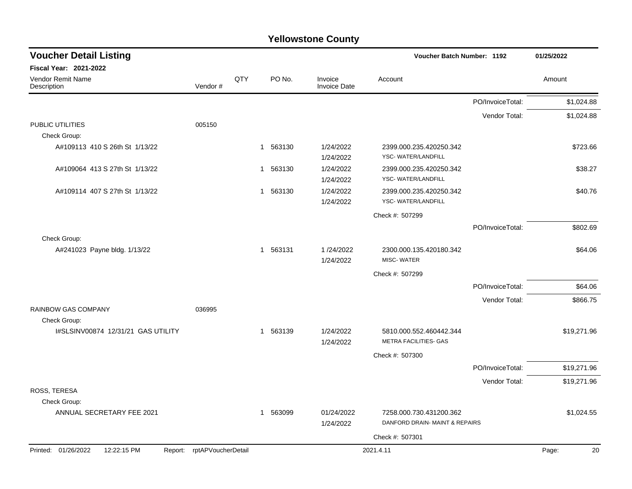| <b>Yellowstone County</b> |  |
|---------------------------|--|
|---------------------------|--|

| <b>Voucher Detail Listing</b>             |                            |     |             |                                | Voucher Batch Number: 1192                           |                  | 01/25/2022  |
|-------------------------------------------|----------------------------|-----|-------------|--------------------------------|------------------------------------------------------|------------------|-------------|
| Fiscal Year: 2021-2022                    |                            |     |             |                                |                                                      |                  |             |
| Vendor Remit Name<br>Description          | Vendor#                    | QTY | PO No.      | Invoice<br><b>Invoice Date</b> | Account                                              |                  | Amount      |
|                                           |                            |     |             |                                |                                                      | PO/InvoiceTotal: | \$1,024.88  |
|                                           |                            |     |             |                                |                                                      | Vendor Total:    | \$1,024.88  |
| PUBLIC UTILITIES<br>Check Group:          | 005150                     |     |             |                                |                                                      |                  |             |
| A#109113 410 S 26th St 1/13/22            |                            |     | 1 563130    | 1/24/2022<br>1/24/2022         | 2399.000.235.420250.342<br><b>YSC-WATER/LANDFILL</b> |                  | \$723.66    |
| A#109064 413 S 27th St 1/13/22            |                            |     | 563130<br>1 | 1/24/2022<br>1/24/2022         | 2399.000.235.420250.342<br>YSC-WATER/LANDFILL        |                  | \$38.27     |
| A#109114 407 S 27th St 1/13/22            |                            |     | 1 563130    | 1/24/2022<br>1/24/2022         | 2399.000.235.420250.342<br><b>YSC-WATER/LANDFILL</b> |                  | \$40.76     |
|                                           |                            |     |             |                                | Check #: 507299                                      |                  |             |
|                                           |                            |     |             |                                |                                                      | PO/InvoiceTotal: | \$802.69    |
| Check Group:                              |                            |     |             |                                |                                                      |                  |             |
| A#241023 Payne bldg. 1/13/22              |                            |     | 1 563131    | 1/24/2022<br>1/24/2022         | 2300.000.135.420180.342<br>MISC-WATER                |                  | \$64.06     |
|                                           |                            |     |             |                                | Check #: 507299                                      |                  |             |
|                                           |                            |     |             |                                |                                                      | PO/InvoiceTotal: | \$64.06     |
| <b>RAINBOW GAS COMPANY</b>                | 036995                     |     |             |                                |                                                      | Vendor Total:    | \$866.75    |
| Check Group:                              |                            |     |             |                                |                                                      |                  |             |
| I#SLSINV00874 12/31/21 GAS UTILITY        |                            |     | 1 563139    | 1/24/2022<br>1/24/2022         | 5810.000.552.460442.344<br>METRA FACILITIES- GAS     |                  | \$19,271.96 |
|                                           |                            |     |             |                                | Check #: 507300                                      |                  |             |
|                                           |                            |     |             |                                |                                                      | PO/InvoiceTotal: | \$19,271.96 |
|                                           |                            |     |             |                                |                                                      | Vendor Total:    | \$19,271.96 |
| ROSS, TERESA                              |                            |     |             |                                |                                                      |                  |             |
| Check Group:<br>ANNUAL SECRETARY FEE 2021 |                            |     | 1 563099    | 01/24/2022                     | 7258.000.730.431200.362                              |                  | \$1,024.55  |
|                                           |                            |     |             | 1/24/2022                      | DANFORD DRAIN-MAINT & REPAIRS                        |                  |             |
|                                           |                            |     |             |                                | Check #: 507301                                      |                  |             |
| Printed: 01/26/2022<br>12:22:15 PM        | Report: rptAPVoucherDetail |     |             |                                | 2021.4.11                                            |                  | Page:<br>20 |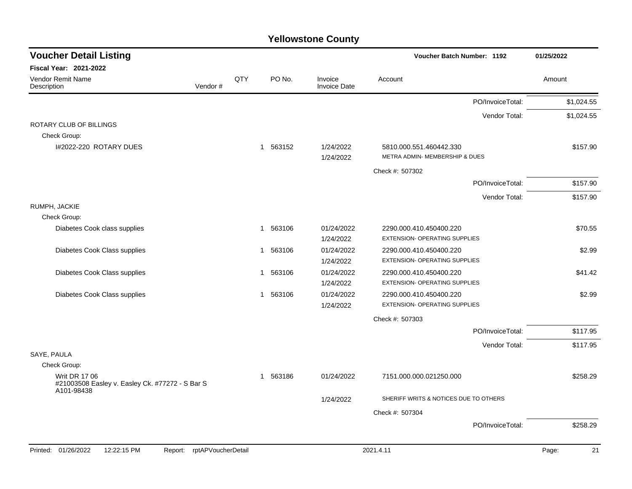| <b>Voucher Detail Listing</b>                                                         |     |                        |                                | <b>Voucher Batch Number: 1192</b>                        | 01/25/2022  |
|---------------------------------------------------------------------------------------|-----|------------------------|--------------------------------|----------------------------------------------------------|-------------|
| <b>Fiscal Year: 2021-2022</b>                                                         |     |                        |                                |                                                          |             |
| Vendor Remit Name<br>Vendor#<br>Description                                           | QTY | PO No.                 | Invoice<br><b>Invoice Date</b> | Account                                                  | Amount      |
|                                                                                       |     |                        |                                | PO/InvoiceTotal:                                         | \$1,024.55  |
|                                                                                       |     |                        |                                | Vendor Total:                                            | \$1,024.55  |
| ROTARY CLUB OF BILLINGS<br>Check Group:                                               |     |                        |                                |                                                          |             |
| I#2022-220 ROTARY DUES                                                                |     | 1 563152               | 1/24/2022                      | 5810.000.551.460442.330                                  | \$157.90    |
|                                                                                       |     |                        | 1/24/2022                      | METRA ADMIN- MEMBERSHIP & DUES                           |             |
|                                                                                       |     |                        |                                | Check #: 507302                                          |             |
|                                                                                       |     |                        |                                | PO/InvoiceTotal:                                         | \$157.90    |
|                                                                                       |     |                        |                                | Vendor Total:                                            | \$157.90    |
| RUMPH, JACKIE                                                                         |     |                        |                                |                                                          |             |
| Check Group:                                                                          |     |                        |                                |                                                          |             |
| Diabetes Cook class supplies                                                          |     | 563106<br>1            | 01/24/2022<br>1/24/2022        | 2290.000.410.450400.220<br>EXTENSION- OPERATING SUPPLIES | \$70.55     |
| Diabetes Cook Class supplies                                                          |     | 563106<br>1            | 01/24/2022                     | 2290.000.410.450400.220                                  | \$2.99      |
|                                                                                       |     |                        | 1/24/2022                      | <b>EXTENSION- OPERATING SUPPLIES</b>                     |             |
| Diabetes Cook Class supplies                                                          |     | 563106<br>$\mathbf{1}$ | 01/24/2022                     | 2290.000.410.450400.220                                  | \$41.42     |
|                                                                                       |     |                        | 1/24/2022                      | EXTENSION- OPERATING SUPPLIES                            |             |
| Diabetes Cook Class supplies                                                          |     | 1 563106               | 01/24/2022                     | 2290.000.410.450400.220                                  | \$2.99      |
|                                                                                       |     |                        | 1/24/2022                      | EXTENSION- OPERATING SUPPLIES                            |             |
|                                                                                       |     |                        |                                | Check #: 507303                                          |             |
|                                                                                       |     |                        |                                | PO/InvoiceTotal:                                         | \$117.95    |
|                                                                                       |     |                        |                                | Vendor Total:                                            | \$117.95    |
| SAYE, PAULA                                                                           |     |                        |                                |                                                          |             |
| Check Group:                                                                          |     |                        |                                |                                                          |             |
| <b>Writ DR 17 06</b><br>#21003508 Easley v. Easley Ck. #77272 - S Bar S<br>A101-98438 |     | 1 563186               | 01/24/2022                     | 7151.000.000.021250.000                                  | \$258.29    |
|                                                                                       |     |                        | 1/24/2022                      | SHERIFF WRITS & NOTICES DUE TO OTHERS                    |             |
|                                                                                       |     |                        |                                | Check #: 507304                                          |             |
|                                                                                       |     |                        |                                | PO/InvoiceTotal:                                         | \$258.29    |
| Printed: 01/26/2022<br>12:22:15 PM<br>rptAPVoucherDetail<br>Report:                   |     |                        |                                | 2021.4.11                                                | Page:<br>21 |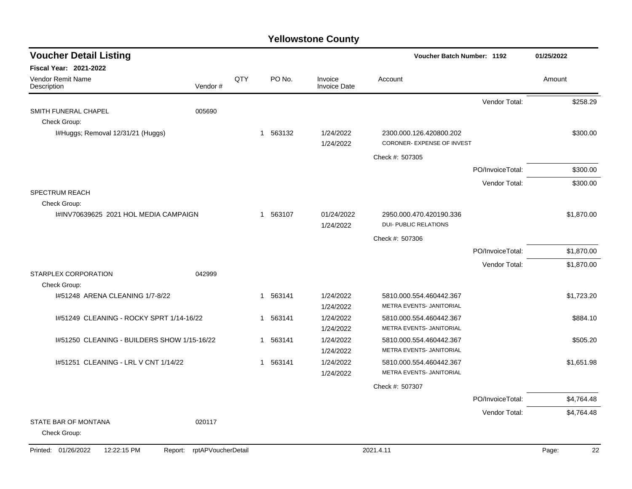| <b>Voucher Detail Listing</b>                 |                    |     |                        |                                | <b>Voucher Batch Number: 1192</b>                     |                  | 01/25/2022  |
|-----------------------------------------------|--------------------|-----|------------------------|--------------------------------|-------------------------------------------------------|------------------|-------------|
| <b>Fiscal Year: 2021-2022</b>                 |                    |     |                        |                                |                                                       |                  |             |
| Vendor Remit Name<br>Description              | Vendor#            | QTY | PO No.                 | Invoice<br><b>Invoice Date</b> | Account                                               |                  | Amount      |
|                                               |                    |     |                        |                                |                                                       | Vendor Total:    | \$258.29    |
| SMITH FUNERAL CHAPEL                          | 005690             |     |                        |                                |                                                       |                  |             |
| Check Group:                                  |                    |     |                        |                                |                                                       |                  |             |
| I#Huggs; Removal 12/31/21 (Huggs)             |                    |     | 1 563132               | 1/24/2022<br>1/24/2022         | 2300.000.126.420800.202<br>CORONER- EXPENSE OF INVEST |                  | \$300.00    |
|                                               |                    |     |                        |                                | Check #: 507305                                       |                  |             |
|                                               |                    |     |                        |                                |                                                       | PO/InvoiceTotal: | \$300.00    |
|                                               |                    |     |                        |                                |                                                       | Vendor Total:    | \$300.00    |
| <b>SPECTRUM REACH</b>                         |                    |     |                        |                                |                                                       |                  |             |
| Check Group:                                  |                    |     |                        |                                |                                                       |                  |             |
| I#INV70639625 2021 HOL MEDIA CAMPAIGN         |                    |     | 1 563107               | 01/24/2022                     | 2950.000.470.420190.336                               |                  | \$1,870.00  |
|                                               |                    |     |                        | 1/24/2022                      | <b>DUI- PUBLIC RELATIONS</b>                          |                  |             |
|                                               |                    |     |                        |                                | Check #: 507306                                       |                  |             |
|                                               |                    |     |                        |                                |                                                       | PO/InvoiceTotal: | \$1,870.00  |
|                                               |                    |     |                        |                                |                                                       | Vendor Total:    | \$1,870.00  |
| STARPLEX CORPORATION<br>Check Group:          | 042999             |     |                        |                                |                                                       |                  |             |
| 1#51248 ARENA CLEANING 1/7-8/22               |                    |     | 563141<br>$\mathbf{1}$ | 1/24/2022                      | 5810.000.554.460442.367                               |                  | \$1,723.20  |
|                                               |                    |     |                        | 1/24/2022                      | METRA EVENTS- JANITORIAL                              |                  |             |
| 1#51249 CLEANING - ROCKY SPRT 1/14-16/22      |                    |     | 563141<br>-1           | 1/24/2022                      | 5810.000.554.460442.367                               |                  | \$884.10    |
|                                               |                    |     |                        | 1/24/2022                      | METRA EVENTS- JANITORIAL                              |                  |             |
| I#51250 CLEANING - BUILDERS SHOW 1/15-16/22   |                    |     | 563141<br>$\mathbf{1}$ | 1/24/2022                      | 5810.000.554.460442.367                               |                  | \$505.20    |
|                                               |                    |     |                        | 1/24/2022                      | METRA EVENTS- JANITORIAL                              |                  |             |
| I#51251 CLEANING - LRL V CNT 1/14/22          |                    |     | 563141<br>$\mathbf 1$  | 1/24/2022                      | 5810.000.554.460442.367                               |                  | \$1,651.98  |
|                                               |                    |     |                        | 1/24/2022                      | METRA EVENTS- JANITORIAL                              |                  |             |
|                                               |                    |     |                        |                                | Check #: 507307                                       |                  |             |
|                                               |                    |     |                        |                                |                                                       | PO/InvoiceTotal: | \$4,764.48  |
|                                               |                    |     |                        |                                |                                                       | Vendor Total:    | \$4,764.48  |
| STATE BAR OF MONTANA<br>Check Group:          | 020117             |     |                        |                                |                                                       |                  |             |
| Printed: 01/26/2022<br>12:22:15 PM<br>Report: | rptAPVoucherDetail |     |                        |                                | 2021.4.11                                             |                  | 22<br>Page: |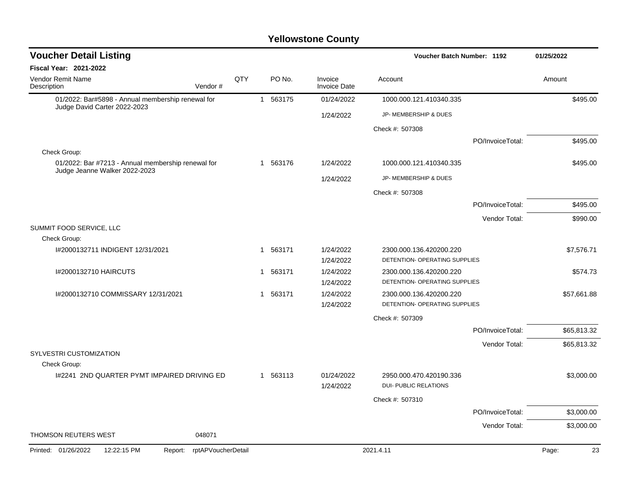| <b>Voucher Detail Listing</b>                                                       |                    |              |          |                                | <b>Voucher Batch Number: 1192</b>                        |                  | 01/25/2022  |
|-------------------------------------------------------------------------------------|--------------------|--------------|----------|--------------------------------|----------------------------------------------------------|------------------|-------------|
| <b>Fiscal Year: 2021-2022</b>                                                       |                    |              |          |                                |                                                          |                  |             |
| <b>Vendor Remit Name</b><br>Vendor#<br>Description                                  | QTY                |              | PO No.   | Invoice<br><b>Invoice Date</b> | Account                                                  |                  | Amount      |
| 01/2022: Bar#5898 - Annual membership renewal for<br>Judge David Carter 2022-2023   |                    |              | 1 563175 | 01/24/2022                     | 1000.000.121.410340.335                                  |                  | \$495.00    |
|                                                                                     |                    |              |          | 1/24/2022                      | JP- MEMBERSHIP & DUES                                    |                  |             |
|                                                                                     |                    |              |          |                                | Check #: 507308                                          |                  |             |
|                                                                                     |                    |              |          |                                |                                                          | PO/InvoiceTotal: | \$495.00    |
| Check Group:                                                                        |                    |              |          |                                |                                                          |                  |             |
| 01/2022: Bar #7213 - Annual membership renewal for<br>Judge Jeanne Walker 2022-2023 |                    |              | 1 563176 | 1/24/2022                      | 1000.000.121.410340.335                                  |                  | \$495.00    |
|                                                                                     |                    |              |          | 1/24/2022                      | JP- MEMBERSHIP & DUES                                    |                  |             |
|                                                                                     |                    |              |          |                                | Check #: 507308                                          |                  |             |
|                                                                                     |                    |              |          |                                |                                                          | PO/InvoiceTotal: | \$495.00    |
|                                                                                     |                    |              |          |                                |                                                          | Vendor Total:    | \$990.00    |
| SUMMIT FOOD SERVICE, LLC                                                            |                    |              |          |                                |                                                          |                  |             |
| Check Group:                                                                        |                    |              |          |                                |                                                          |                  |             |
| I#2000132711 INDIGENT 12/31/2021                                                    |                    |              | 1 563171 | 1/24/2022<br>1/24/2022         | 2300.000.136.420200.220<br>DETENTION- OPERATING SUPPLIES |                  | \$7,576.71  |
| 1#2000132710 HAIRCUTS                                                               |                    | 1            | 563171   | 1/24/2022                      | 2300.000.136.420200.220                                  |                  | \$574.73    |
|                                                                                     |                    |              |          | 1/24/2022                      | DETENTION- OPERATING SUPPLIES                            |                  |             |
| I#2000132710 COMMISSARY 12/31/2021                                                  |                    | $\mathbf{1}$ | 563171   | 1/24/2022                      | 2300.000.136.420200.220                                  |                  | \$57,661.88 |
|                                                                                     |                    |              |          | 1/24/2022                      | DETENTION- OPERATING SUPPLIES                            |                  |             |
|                                                                                     |                    |              |          |                                | Check #: 507309                                          |                  |             |
|                                                                                     |                    |              |          |                                |                                                          | PO/InvoiceTotal: | \$65,813.32 |
| SYLVESTRI CUSTOMIZATION                                                             |                    |              |          |                                |                                                          | Vendor Total:    | \$65,813.32 |
| Check Group:                                                                        |                    |              |          |                                |                                                          |                  |             |
| 1#2241 2ND QUARTER PYMT IMPAIRED DRIVING ED                                         |                    |              | 1 563113 | 01/24/2022                     | 2950.000.470.420190.336                                  |                  | \$3,000.00  |
|                                                                                     |                    |              |          | 1/24/2022                      | <b>DUI- PUBLIC RELATIONS</b>                             |                  |             |
|                                                                                     |                    |              |          |                                | Check #: 507310                                          |                  |             |
|                                                                                     |                    |              |          |                                |                                                          | PO/InvoiceTotal: | \$3,000.00  |
|                                                                                     |                    |              |          |                                |                                                          | Vendor Total:    | \$3,000.00  |
| <b>THOMSON REUTERS WEST</b><br>048071                                               |                    |              |          |                                |                                                          |                  |             |
| Printed: 01/26/2022<br>12:22:15 PM<br>Report:                                       | rptAPVoucherDetail |              |          |                                | 2021.4.11                                                |                  | 23<br>Page: |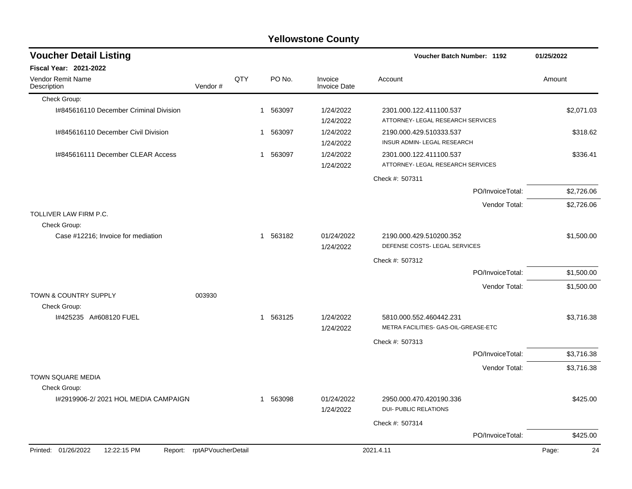|                                        |                            |     |                        | <b>Yellowstone County</b>      |                                                                 |                  |             |
|----------------------------------------|----------------------------|-----|------------------------|--------------------------------|-----------------------------------------------------------------|------------------|-------------|
| <b>Voucher Detail Listing</b>          |                            |     |                        |                                | <b>Voucher Batch Number: 1192</b>                               |                  | 01/25/2022  |
| <b>Fiscal Year: 2021-2022</b>          |                            |     |                        |                                |                                                                 |                  |             |
| Vendor Remit Name<br>Description       | Vendor#                    | QTY | PO No.                 | Invoice<br><b>Invoice Date</b> | Account                                                         |                  | Amount      |
| Check Group:                           |                            |     |                        |                                |                                                                 |                  |             |
| I#845616110 December Criminal Division |                            |     | 563097<br>1            | 1/24/2022<br>1/24/2022         | 2301.000.122.411100.537<br>ATTORNEY- LEGAL RESEARCH SERVICES    |                  | \$2,071.03  |
| I#845616110 December Civil Division    |                            |     | 563097<br>$\mathbf{1}$ | 1/24/2022<br>1/24/2022         | 2190.000.429.510333.537<br><b>INSUR ADMIN-LEGAL RESEARCH</b>    |                  | \$318.62    |
| I#845616111 December CLEAR Access      |                            |     | 1 563097               | 1/24/2022<br>1/24/2022         | 2301.000.122.411100.537<br>ATTORNEY- LEGAL RESEARCH SERVICES    |                  | \$336.41    |
|                                        |                            |     |                        |                                | Check #: 507311                                                 |                  |             |
|                                        |                            |     |                        |                                |                                                                 | PO/InvoiceTotal: | \$2,726.06  |
|                                        |                            |     |                        |                                |                                                                 | Vendor Total:    | \$2,726.06  |
| TOLLIVER LAW FIRM P.C.<br>Check Group: |                            |     |                        |                                |                                                                 |                  |             |
| Case #12216; Invoice for mediation     |                            |     | 1 563182               | 01/24/2022<br>1/24/2022        | 2190.000.429.510200.352<br>DEFENSE COSTS- LEGAL SERVICES        |                  | \$1,500.00  |
|                                        |                            |     |                        |                                | Check #: 507312                                                 |                  |             |
|                                        |                            |     |                        |                                |                                                                 | PO/InvoiceTotal: | \$1,500.00  |
|                                        |                            |     |                        |                                |                                                                 | Vendor Total:    | \$1,500.00  |
| TOWN & COUNTRY SUPPLY                  | 003930                     |     |                        |                                |                                                                 |                  |             |
| Check Group:<br>I#425235 A#608120 FUEL |                            |     | 1 563125               | 1/24/2022<br>1/24/2022         | 5810.000.552.460442.231<br>METRA FACILITIES- GAS-OIL-GREASE-ETC |                  | \$3,716.38  |
|                                        |                            |     |                        |                                | Check #: 507313                                                 |                  |             |
|                                        |                            |     |                        |                                |                                                                 | PO/InvoiceTotal: | \$3,716.38  |
|                                        |                            |     |                        |                                |                                                                 | Vendor Total:    | \$3,716.38  |
| TOWN SQUARE MEDIA<br>Check Group:      |                            |     |                        |                                |                                                                 |                  |             |
| I#2919906-2/2021 HOL MEDIA CAMPAIGN    |                            |     | 1 563098               | 01/24/2022<br>1/24/2022        | 2950.000.470.420190.336<br><b>DUI- PUBLIC RELATIONS</b>         |                  | \$425.00    |
|                                        |                            |     |                        |                                | Check #: 507314                                                 |                  |             |
|                                        |                            |     |                        |                                |                                                                 | PO/InvoiceTotal: | \$425.00    |
| Printed: 01/26/2022<br>12:22:15 PM     | Report: rptAPVoucherDetail |     |                        |                                | 2021.4.11                                                       |                  | Page:<br>24 |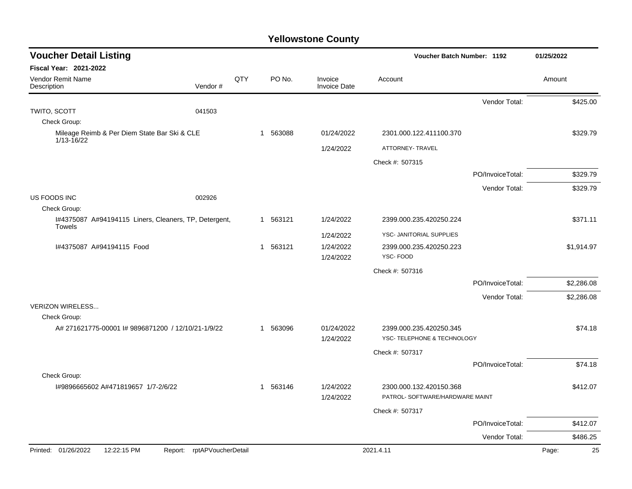| <b>Voucher Detail Listing</b>                                     |                    |     |          | Voucher Batch Number: 1192     |                                                            | 01/25/2022       |        |            |
|-------------------------------------------------------------------|--------------------|-----|----------|--------------------------------|------------------------------------------------------------|------------------|--------|------------|
| <b>Fiscal Year: 2021-2022</b>                                     |                    |     |          |                                |                                                            |                  |        |            |
| Vendor Remit Name<br>Description                                  | Vendor#            | QTY | PO No.   | Invoice<br><b>Invoice Date</b> | Account                                                    |                  | Amount |            |
|                                                                   |                    |     |          |                                |                                                            | Vendor Total:    |        | \$425.00   |
| TWITO, SCOTT                                                      | 041503             |     |          |                                |                                                            |                  |        |            |
| Check Group:                                                      |                    |     |          |                                |                                                            |                  |        |            |
| Mileage Reimb & Per Diem State Bar Ski & CLE<br>1/13-16/22        |                    |     | 1 563088 | 01/24/2022                     | 2301.000.122.411100.370                                    |                  |        | \$329.79   |
|                                                                   |                    |     |          | 1/24/2022                      | ATTORNEY- TRAVEL                                           |                  |        |            |
|                                                                   |                    |     |          |                                | Check #: 507315                                            |                  |        |            |
|                                                                   |                    |     |          |                                |                                                            | PO/InvoiceTotal: |        | \$329.79   |
|                                                                   |                    |     |          |                                |                                                            | Vendor Total:    |        | \$329.79   |
| US FOODS INC<br>Check Group:                                      | 002926             |     |          |                                |                                                            |                  |        |            |
| I#4375087 A#94194115 Liners, Cleaners, TP, Detergent,             |                    |     | 1 563121 | 1/24/2022                      | 2399.000.235.420250.224                                    |                  |        | \$371.11   |
| <b>Towels</b>                                                     |                    |     |          | 1/24/2022                      | YSC- JANITORIAL SUPPLIES                                   |                  |        |            |
| I#4375087 A#94194115 Food                                         |                    |     | 1 563121 | 1/24/2022                      | 2399.000.235.420250.223                                    |                  |        | \$1,914.97 |
|                                                                   |                    |     |          | 1/24/2022                      | YSC-FOOD                                                   |                  |        |            |
|                                                                   |                    |     |          |                                | Check #: 507316                                            |                  |        |            |
|                                                                   |                    |     |          |                                |                                                            | PO/InvoiceTotal: |        | \$2,286.08 |
|                                                                   |                    |     |          |                                |                                                            | Vendor Total:    |        | \$2,286.08 |
| <b>VERIZON WIRELESS</b>                                           |                    |     |          |                                |                                                            |                  |        |            |
| Check Group:<br>A# 271621775-00001 # 9896871200 / 12/10/21-1/9/22 |                    |     | 1 563096 | 01/24/2022                     | 2399.000.235.420250.345                                    |                  |        | \$74.18    |
|                                                                   |                    |     |          | 1/24/2022                      | YSC- TELEPHONE & TECHNOLOGY                                |                  |        |            |
|                                                                   |                    |     |          |                                | Check #: 507317                                            |                  |        |            |
|                                                                   |                    |     |          |                                |                                                            | PO/InvoiceTotal: |        | \$74.18    |
| Check Group:                                                      |                    |     |          |                                |                                                            |                  |        |            |
| I#9896665602 A#471819657 1/7-2/6/22                               |                    |     | 1 563146 | 1/24/2022                      | 2300.000.132.420150.368<br>PATROL- SOFTWARE/HARDWARE MAINT |                  |        | \$412.07   |
|                                                                   |                    |     |          | 1/24/2022                      |                                                            |                  |        |            |
|                                                                   |                    |     |          |                                | Check #: 507317                                            |                  |        |            |
|                                                                   |                    |     |          |                                |                                                            | PO/InvoiceTotal: |        | \$412.07   |
|                                                                   |                    |     |          |                                |                                                            | Vendor Total:    |        | \$486.25   |
| Printed: 01/26/2022<br>12:22:15 PM<br>Report:                     | rptAPVoucherDetail |     |          |                                | 2021.4.11                                                  |                  | Page:  | 25         |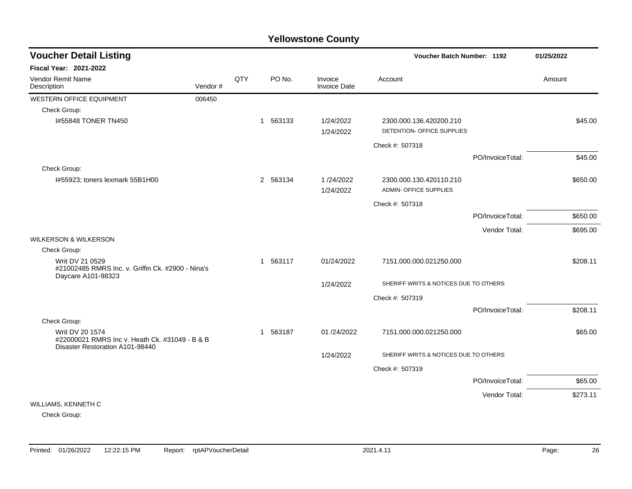| <b>Voucher Detail Listing</b>                                                                        |         |     |              |        |                         | Voucher Batch Number: 1192                               |                  | 01/25/2022 |
|------------------------------------------------------------------------------------------------------|---------|-----|--------------|--------|-------------------------|----------------------------------------------------------|------------------|------------|
| Fiscal Year: 2021-2022                                                                               |         |     |              |        |                         |                                                          |                  |            |
| Vendor Remit Name<br>Description                                                                     | Vendor# | QTY |              | PO No. | Invoice<br>Invoice Date | Account                                                  |                  | Amount     |
| <b>WESTERN OFFICE EQUIPMENT</b>                                                                      | 006450  |     |              |        |                         |                                                          |                  |            |
| Check Group:                                                                                         |         |     |              |        |                         |                                                          |                  |            |
| 1#55848 TONER TN450                                                                                  |         |     | 1 563133     |        | 1/24/2022<br>1/24/2022  | 2300.000.136.420200.210<br>DETENTION- OFFICE SUPPLIES    |                  | \$45.00    |
|                                                                                                      |         |     |              |        |                         | Check #: 507318                                          |                  |            |
|                                                                                                      |         |     |              |        |                         |                                                          | PO/InvoiceTotal: | \$45.00    |
| Check Group:                                                                                         |         |     |              |        |                         |                                                          |                  |            |
| I#55923; toners lexmark 55B1H00                                                                      |         |     | 2 563134     |        | 1/24/2022<br>1/24/2022  | 2300.000.130.420110.210<br><b>ADMIN- OFFICE SUPPLIES</b> |                  | \$650.00   |
|                                                                                                      |         |     |              |        |                         | Check #: 507318                                          |                  |            |
|                                                                                                      |         |     |              |        |                         |                                                          | PO/InvoiceTotal: | \$650.00   |
|                                                                                                      |         |     |              |        |                         |                                                          | Vendor Total:    | \$695.00   |
| <b>WILKERSON &amp; WILKERSON</b>                                                                     |         |     |              |        |                         |                                                          |                  |            |
| Check Group:                                                                                         |         |     |              |        |                         |                                                          |                  |            |
| Writ DV 21 0529<br>#21002485 RMRS Inc. v. Griffin Ck. #2900 - Nina's<br>Daycare A101-98323           |         |     | 1 563117     |        | 01/24/2022              | 7151.000.000.021250.000                                  |                  | \$208.11   |
|                                                                                                      |         |     |              |        | 1/24/2022               | SHERIFF WRITS & NOTICES DUE TO OTHERS                    |                  |            |
|                                                                                                      |         |     |              |        |                         | Check #: 507319                                          |                  |            |
|                                                                                                      |         |     |              |        |                         |                                                          | PO/InvoiceTotal: | \$208.11   |
| Check Group:                                                                                         |         |     |              |        |                         |                                                          |                  |            |
| Writ DV 20 1574<br>#22000021 RMRS Inc v. Heath Ck. #31049 - B & B<br>Disaster Restoration A101-98440 |         |     | $\mathbf{1}$ | 563187 | 01/24/2022              | 7151.000.000.021250.000                                  |                  | \$65.00    |
|                                                                                                      |         |     |              |        | 1/24/2022               | SHERIFF WRITS & NOTICES DUE TO OTHERS                    |                  |            |
|                                                                                                      |         |     |              |        |                         | Check #: 507319                                          |                  |            |
|                                                                                                      |         |     |              |        |                         |                                                          | PO/InvoiceTotal: | \$65.00    |
|                                                                                                      |         |     |              |        |                         |                                                          | Vendor Total:    | \$273.11   |
| WILLIAMS, KENNETH C                                                                                  |         |     |              |        |                         |                                                          |                  |            |

Check Group: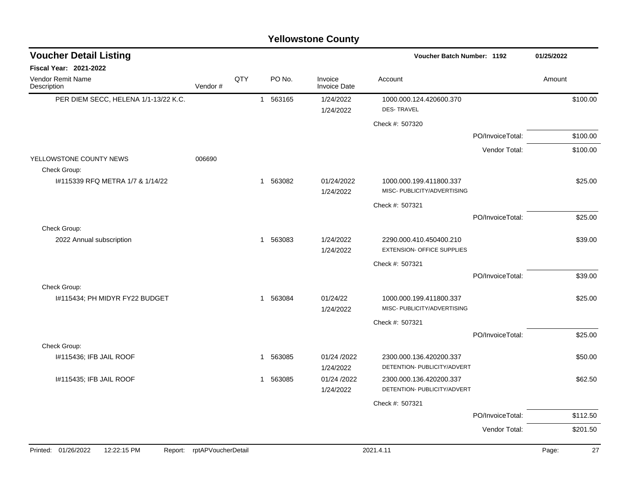| <b>Voucher Detail Listing</b>                 |                    |     |              |          |                                | Voucher Batch Number: 1192                                   |                  | 01/25/2022 |          |
|-----------------------------------------------|--------------------|-----|--------------|----------|--------------------------------|--------------------------------------------------------------|------------------|------------|----------|
| Fiscal Year: 2021-2022                        |                    |     |              |          |                                |                                                              |                  |            |          |
| Vendor Remit Name<br>Description              | Vendor#            | QTY |              | PO No.   | Invoice<br><b>Invoice Date</b> | Account                                                      |                  | Amount     |          |
| PER DIEM SECC, HELENA 1/1-13/22 K.C.          |                    |     |              | 1 563165 | 1/24/2022<br>1/24/2022         | 1000.000.124.420600.370<br><b>DES-TRAVEL</b>                 |                  |            | \$100.00 |
|                                               |                    |     |              |          |                                | Check #: 507320                                              |                  |            |          |
|                                               |                    |     |              |          |                                |                                                              | PO/InvoiceTotal: |            | \$100.00 |
|                                               |                    |     |              |          |                                |                                                              | Vendor Total:    |            | \$100.00 |
| YELLOWSTONE COUNTY NEWS<br>Check Group:       | 006690             |     |              |          |                                |                                                              |                  |            |          |
| #115339 RFQ METRA 1/7 & 1/14/22               |                    |     |              | 1 563082 | 01/24/2022<br>1/24/2022        | 1000.000.199.411800.337<br>MISC- PUBLICITY/ADVERTISING       |                  |            | \$25.00  |
|                                               |                    |     |              |          |                                | Check #: 507321                                              |                  |            |          |
|                                               |                    |     |              |          |                                |                                                              | PO/InvoiceTotal: |            | \$25.00  |
| Check Group:                                  |                    |     |              |          |                                |                                                              |                  |            |          |
| 2022 Annual subscription                      |                    |     |              | 1 563083 | 1/24/2022<br>1/24/2022         | 2290.000.410.450400.210<br><b>EXTENSION- OFFICE SUPPLIES</b> |                  |            | \$39.00  |
|                                               |                    |     |              |          |                                | Check #: 507321                                              |                  |            |          |
|                                               |                    |     |              |          |                                |                                                              | PO/InvoiceTotal: |            | \$39.00  |
| Check Group:                                  |                    |     |              |          |                                |                                                              |                  |            |          |
| #115434; PH MIDYR FY22 BUDGET                 |                    |     |              | 1 563084 | 01/24/22<br>1/24/2022          | 1000.000.199.411800.337<br>MISC- PUBLICITY/ADVERTISING       |                  |            | \$25.00  |
|                                               |                    |     |              |          |                                | Check #: 507321                                              |                  |            |          |
| Check Group:                                  |                    |     |              |          |                                |                                                              | PO/InvoiceTotal: |            | \$25.00  |
| I#115436; IFB JAIL ROOF                       |                    |     | $\mathbf{1}$ | 563085   | 01/24 /2022                    | 2300.000.136.420200.337                                      |                  |            | \$50.00  |
|                                               |                    |     |              |          | 1/24/2022                      | DETENTION- PUBLICITY/ADVERT                                  |                  |            |          |
| I#115435; IFB JAIL ROOF                       |                    |     |              | 1 563085 | 01/24 /2022                    | 2300.000.136.420200.337                                      |                  |            | \$62.50  |
|                                               |                    |     |              |          | 1/24/2022                      | DETENTION- PUBLICITY/ADVERT                                  |                  |            |          |
|                                               |                    |     |              |          |                                | Check #: 507321                                              |                  |            |          |
|                                               |                    |     |              |          |                                |                                                              | PO/InvoiceTotal: |            | \$112.50 |
|                                               |                    |     |              |          |                                |                                                              | Vendor Total:    |            | \$201.50 |
| Printed: 01/26/2022<br>12:22:15 PM<br>Report: | rptAPVoucherDetail |     |              |          |                                | 2021.4.11                                                    |                  | Page:      | 27       |